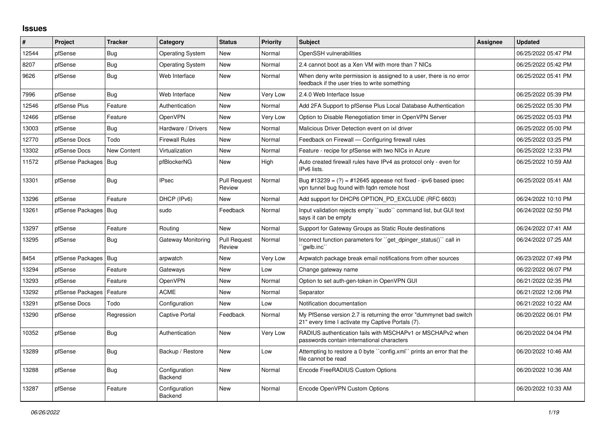## **Issues**

| #     | Project                | <b>Tracker</b> | Category                 | <b>Status</b>                 | <b>Priority</b> | <b>Subject</b>                                                                                                          | <b>Assignee</b> | <b>Updated</b>      |
|-------|------------------------|----------------|--------------------------|-------------------------------|-----------------|-------------------------------------------------------------------------------------------------------------------------|-----------------|---------------------|
| 12544 | pfSense                | <b>Bug</b>     | <b>Operating System</b>  | <b>New</b>                    | Normal          | OpenSSH vulnerabilities                                                                                                 |                 | 06/25/2022 05:47 PM |
| 8207  | pfSense                | <b>Bug</b>     | <b>Operating System</b>  | <b>New</b>                    | Normal          | 2.4 cannot boot as a Xen VM with more than 7 NICs                                                                       |                 | 06/25/2022 05:42 PM |
| 9626  | pfSense                | Bug            | Web Interface            | <b>New</b>                    | Normal          | When deny write permission is assigned to a user, there is no error<br>feedback if the user tries to write something    |                 | 06/25/2022 05:41 PM |
| 7996  | pfSense                | Bug            | Web Interface            | <b>New</b>                    | Very Low        | 2.4.0 Web Interface Issue                                                                                               |                 | 06/25/2022 05:39 PM |
| 12546 | pfSense Plus           | Feature        | Authentication           | New                           | Normal          | Add 2FA Support to pfSense Plus Local Database Authentication                                                           |                 | 06/25/2022 05:30 PM |
| 12466 | pfSense                | Feature        | OpenVPN                  | <b>New</b>                    | Very Low        | Option to Disable Renegotiation timer in OpenVPN Server                                                                 |                 | 06/25/2022 05:03 PM |
| 13003 | pfSense                | Bug            | Hardware / Drivers       | <b>New</b>                    | Normal          | Malicious Driver Detection event on ixl driver                                                                          |                 | 06/25/2022 05:00 PM |
| 12770 | pfSense Docs           | Todo           | <b>Firewall Rules</b>    | New                           | Normal          | Feedback on Firewall — Configuring firewall rules                                                                       |                 | 06/25/2022 03:25 PM |
| 13302 | pfSense Docs           | New Content    | Virtualization           | New                           | Normal          | Feature - recipe for pfSense with two NICs in Azure                                                                     |                 | 06/25/2022 12:33 PM |
| 11572 | pfSense Packages   Bug |                | pfBlockerNG              | <b>New</b>                    | High            | Auto created firewall rules have IPv4 as protocol only - even for<br>IPv6 lists.                                        |                 | 06/25/2022 10:59 AM |
| 13301 | pfSense                | Bug            | <b>IPsec</b>             | <b>Pull Request</b><br>Review | Normal          | Bug #13239 = $(?)$ = #12645 appease not fixed - ipv6 based ipsec<br>vpn tunnel bug found with fgdn remote host          |                 | 06/25/2022 05:41 AM |
| 13296 | pfSense                | Feature        | DHCP (IPv6)              | New                           | Normal          | Add support for DHCP6 OPTION_PD_EXCLUDE (RFC 6603)                                                                      |                 | 06/24/2022 10:10 PM |
| 13261 | pfSense Packages   Bug |                | sudo                     | Feedback                      | Normal          | Input validation rejects empty "sudo" command list, but GUI text<br>says it can be empty                                |                 | 06/24/2022 02:50 PM |
| 13297 | pfSense                | Feature        | Routing                  | <b>New</b>                    | Normal          | Support for Gateway Groups as Static Route destinations                                                                 |                 | 06/24/2022 07:41 AM |
| 13295 | pfSense                | Bug            | Gateway Monitoring       | <b>Pull Request</b><br>Review | Normal          | Incorrect function parameters for "get_dpinger_status()" call in<br>`qwlb.inc``                                         |                 | 06/24/2022 07:25 AM |
| 8454  | pfSense Packages       | <b>Bug</b>     | arpwatch                 | New                           | Very Low        | Arpwatch package break email notifications from other sources                                                           |                 | 06/23/2022 07:49 PM |
| 13294 | pfSense                | Feature        | Gateways                 | New                           | Low             | Change gateway name                                                                                                     |                 | 06/22/2022 06:07 PM |
| 13293 | pfSense                | Feature        | OpenVPN                  | <b>New</b>                    | Normal          | Option to set auth-gen-token in OpenVPN GUI                                                                             |                 | 06/21/2022 02:35 PM |
| 13292 | pfSense Packages       | Feature        | <b>ACME</b>              | <b>New</b>                    | Normal          | Separator                                                                                                               |                 | 06/21/2022 12:06 PM |
| 13291 | pfSense Docs           | Todo           | Configuration            | <b>New</b>                    | Low             | Notification documentation                                                                                              |                 | 06/21/2022 10:22 AM |
| 13290 | pfSense                | Regression     | Captive Portal           | Feedback                      | Normal          | My PfSense version 2.7 is returning the error "dummynet bad switch<br>21" every time I activate my Captive Portals (7). |                 | 06/20/2022 06:01 PM |
| 10352 | pfSense                | Bug            | Authentication           | <b>New</b>                    | Very Low        | RADIUS authentication fails with MSCHAPv1 or MSCHAPv2 when<br>passwords contain international characters                |                 | 06/20/2022 04:04 PM |
| 13289 | pfSense                | Bug            | Backup / Restore         | New                           | Low             | Attempting to restore a 0 byte "config.xml" prints an error that the<br>file cannot be read                             |                 | 06/20/2022 10:46 AM |
| 13288 | pfSense                | Bug            | Configuration<br>Backend | <b>New</b>                    | Normal          | Encode FreeRADIUS Custom Options                                                                                        |                 | 06/20/2022 10:36 AM |
| 13287 | pfSense                | Feature        | Configuration<br>Backend | <b>New</b>                    | Normal          | Encode OpenVPN Custom Options                                                                                           |                 | 06/20/2022 10:33 AM |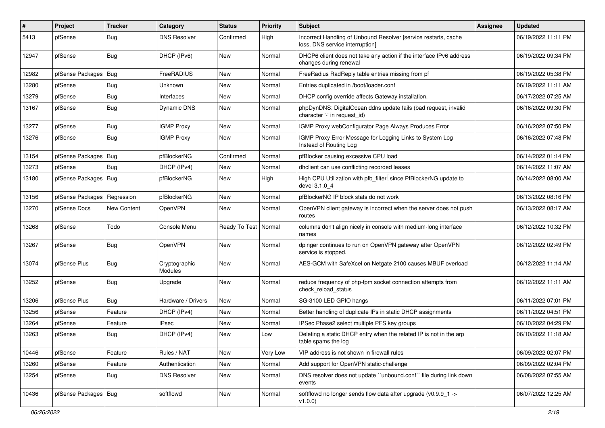| #     | Project                | <b>Tracker</b> | Category                 | <b>Status</b> | <b>Priority</b> | <b>Subject</b>                                                                                     | Assignee | <b>Updated</b>      |
|-------|------------------------|----------------|--------------------------|---------------|-----------------|----------------------------------------------------------------------------------------------------|----------|---------------------|
| 5413  | pfSense                | <b>Bug</b>     | <b>DNS Resolver</b>      | Confirmed     | High            | Incorrect Handling of Unbound Resolver [service restarts, cache<br>loss, DNS service interruption] |          | 06/19/2022 11:11 PM |
| 12947 | pfSense                | Bug            | DHCP (IPv6)              | New           | Normal          | DHCP6 client does not take any action if the interface IPv6 address<br>changes during renewal      |          | 06/19/2022 09:34 PM |
| 12982 | pfSense Packages   Bug |                | FreeRADIUS               | <b>New</b>    | Normal          | FreeRadius RadReply table entries missing from pf                                                  |          | 06/19/2022 05:38 PM |
| 13280 | pfSense                | Bug            | Unknown                  | New           | Normal          | Entries duplicated in /boot/loader.conf                                                            |          | 06/19/2022 11:11 AM |
| 13279 | pfSense                | Bug            | Interfaces               | New           | Normal          | DHCP config override affects Gateway installation.                                                 |          | 06/17/2022 07:25 AM |
| 13167 | pfSense                | <b>Bug</b>     | Dynamic DNS              | New           | Normal          | phpDynDNS: DigitalOcean ddns update fails (bad request, invalid<br>character '-' in request id)    |          | 06/16/2022 09:30 PM |
| 13277 | pfSense                | <b>Bug</b>     | <b>IGMP Proxy</b>        | New           | Normal          | IGMP Proxy webConfigurator Page Always Produces Error                                              |          | 06/16/2022 07:50 PM |
| 13276 | pfSense                | <b>Bug</b>     | <b>IGMP Proxy</b>        | New           | Normal          | IGMP Proxy Error Message for Logging Links to System Log<br>Instead of Routing Log                 |          | 06/16/2022 07:48 PM |
| 13154 | pfSense Packages   Bug |                | pfBlockerNG              | Confirmed     | Normal          | pfBlocker causing excessive CPU load                                                               |          | 06/14/2022 01:14 PM |
| 13273 | pfSense                | Bug            | DHCP (IPv4)              | New           | Normal          | dhclient can use conflicting recorded leases                                                       |          | 06/14/2022 11:07 AM |
| 13180 | pfSense Packages   Bug |                | pfBlockerNG              | New           | High            | High CPU Utilization with pfb_filterlsince PfBlockerNG update to<br>devel 3.1.0 4                  |          | 06/14/2022 08:00 AM |
| 13156 | pfSense Packages       | Regression     | pfBlockerNG              | <b>New</b>    | Normal          | pfBlockerNG IP block stats do not work                                                             |          | 06/13/2022 08:16 PM |
| 13270 | pfSense Docs           | New Content    | OpenVPN                  | New           | Normal          | OpenVPN client gateway is incorrect when the server does not push<br>routes                        |          | 06/13/2022 08:17 AM |
| 13268 | pfSense                | Todo           | Console Menu             | Ready To Test | Normal          | columns don't align nicely in console with medium-long interface<br>names                          |          | 06/12/2022 10:32 PM |
| 13267 | pfSense                | <b>Bug</b>     | OpenVPN                  | New           | Normal          | dpinger continues to run on OpenVPN gateway after OpenVPN<br>service is stopped.                   |          | 06/12/2022 02:49 PM |
| 13074 | pfSense Plus           | <b>Bug</b>     | Cryptographic<br>Modules | New           | Normal          | AES-GCM with SafeXcel on Netgate 2100 causes MBUF overload                                         |          | 06/12/2022 11:14 AM |
| 13252 | pfSense                | <b>Bug</b>     | Upgrade                  | <b>New</b>    | Normal          | reduce frequency of php-fpm socket connection attempts from<br>check reload status                 |          | 06/12/2022 11:11 AM |
| 13206 | pfSense Plus           | <b>Bug</b>     | Hardware / Drivers       | <b>New</b>    | Normal          | SG-3100 LED GPIO hangs                                                                             |          | 06/11/2022 07:01 PM |
| 13256 | pfSense                | Feature        | DHCP (IPv4)              | New           | Normal          | Better handling of duplicate IPs in static DHCP assignments                                        |          | 06/11/2022 04:51 PM |
| 13264 | pfSense                | Feature        | <b>IPsec</b>             | <b>New</b>    | Normal          | IPSec Phase2 select multiple PFS key groups                                                        |          | 06/10/2022 04:29 PM |
| 13263 | pfSense                | <b>Bug</b>     | DHCP (IPv4)              | New           | Low             | Deleting a static DHCP entry when the related IP is not in the arp<br>table spams the log          |          | 06/10/2022 11:18 AM |
| 10446 | pfSense                | Feature        | Rules / NAT              | New           | Very Low        | VIP address is not shown in firewall rules                                                         |          | 06/09/2022 02:07 PM |
| 13260 | pfSense                | Feature        | Authentication           | New           | Normal          | Add support for OpenVPN static-challenge                                                           |          | 06/09/2022 02:04 PM |
| 13254 | pfSense                | Bug            | <b>DNS Resolver</b>      | New           | Normal          | DNS resolver does not update "unbound.conf" file during link down<br>events                        |          | 06/08/2022 07:55 AM |
| 10436 | pfSense Packages   Bug |                | softflowd                | New           | Normal          | softflowd no longer sends flow data after upgrade (v0.9.9_1 -><br>v1.0.0)                          |          | 06/07/2022 12:25 AM |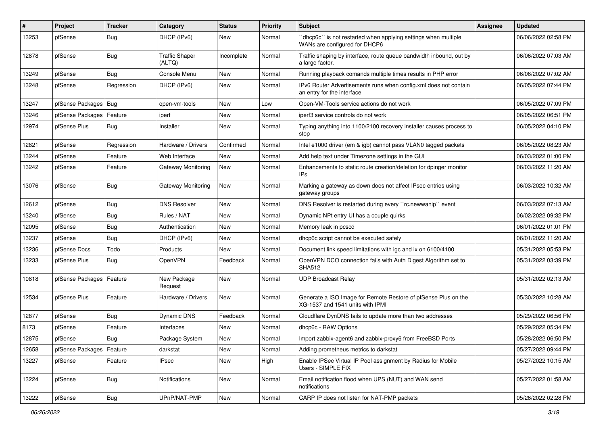| #     | <b>Project</b>   | <b>Tracker</b> | Category                        | <b>Status</b> | <b>Priority</b> | <b>Subject</b>                                                                                     | Assignee | <b>Updated</b>      |
|-------|------------------|----------------|---------------------------------|---------------|-----------------|----------------------------------------------------------------------------------------------------|----------|---------------------|
| 13253 | pfSense          | <b>Bug</b>     | DHCP (IPv6)                     | New           | Normal          | 'dhcp6c'' is not restarted when applying settings when multiple<br>WANs are configured for DHCP6   |          | 06/06/2022 02:58 PM |
| 12878 | pfSense          | Bug            | <b>Traffic Shaper</b><br>(ALTQ) | Incomplete    | Normal          | Traffic shaping by interface, route queue bandwidth inbound, out by<br>a large factor.             |          | 06/06/2022 07:03 AM |
| 13249 | pfSense          | Bug            | Console Menu                    | <b>New</b>    | Normal          | Running playback comands multiple times results in PHP error                                       |          | 06/06/2022 07:02 AM |
| 13248 | pfSense          | Regression     | DHCP (IPv6)                     | New           | Normal          | IPv6 Router Advertisements runs when config.xml does not contain<br>an entry for the interface     |          | 06/05/2022 07:44 PM |
| 13247 | pfSense Packages | Bug            | open-vm-tools                   | <b>New</b>    | Low             | Open-VM-Tools service actions do not work                                                          |          | 06/05/2022 07:09 PM |
| 13246 | pfSense Packages | Feature        | iperf                           | New           | Normal          | iperf3 service controls do not work                                                                |          | 06/05/2022 06:51 PM |
| 12974 | pfSense Plus     | <b>Bug</b>     | Installer                       | New           | Normal          | Typing anything into 1100/2100 recovery installer causes process to<br>stop                        |          | 06/05/2022 04:10 PM |
| 12821 | pfSense          | Regression     | Hardware / Drivers              | Confirmed     | Normal          | Intel e1000 driver (em & igb) cannot pass VLAN0 tagged packets                                     |          | 06/05/2022 08:23 AM |
| 13244 | pfSense          | Feature        | Web Interface                   | <b>New</b>    | Normal          | Add help text under Timezone settings in the GUI                                                   |          | 06/03/2022 01:00 PM |
| 13242 | pfSense          | Feature        | Gateway Monitoring              | New           | Normal          | Enhancements to static route creation/deletion for dpinger monitor<br>IPs                          |          | 06/03/2022 11:20 AM |
| 13076 | pfSense          | <b>Bug</b>     | <b>Gateway Monitoring</b>       | <b>New</b>    | Normal          | Marking a gateway as down does not affect IPsec entries using<br>gateway groups                    |          | 06/03/2022 10:32 AM |
| 12612 | pfSense          | <b>Bug</b>     | <b>DNS Resolver</b>             | <b>New</b>    | Normal          | DNS Resolver is restarted during every "rc.newwanip" event                                         |          | 06/03/2022 07:13 AM |
| 13240 | pfSense          | Bug            | Rules / NAT                     | New           | Normal          | Dynamic NPt entry UI has a couple quirks                                                           |          | 06/02/2022 09:32 PM |
| 12095 | pfSense          | <b>Bug</b>     | Authentication                  | <b>New</b>    | Normal          | Memory leak in pcscd                                                                               |          | 06/01/2022 01:01 PM |
| 13237 | pfSense          | <b>Bug</b>     | DHCP (IPv6)                     | New           | Normal          | dhcp6c script cannot be executed safely                                                            |          | 06/01/2022 11:20 AM |
| 13236 | pfSense Docs     | Todo           | Products                        | New           | Normal          | Document link speed limitations with igc and ix on 6100/4100                                       |          | 05/31/2022 05:53 PM |
| 13233 | pfSense Plus     | Bug            | OpenVPN                         | Feedback      | Normal          | OpenVPN DCO connection fails with Auth Digest Algorithm set to<br><b>SHA512</b>                    |          | 05/31/2022 03:39 PM |
| 10818 | pfSense Packages | Feature        | New Package<br>Request          | <b>New</b>    | Normal          | <b>UDP Broadcast Relay</b>                                                                         |          | 05/31/2022 02:13 AM |
| 12534 | pfSense Plus     | Feature        | Hardware / Drivers              | <b>New</b>    | Normal          | Generate a ISO Image for Remote Restore of pfSense Plus on the<br>XG-1537 and 1541 units with IPMI |          | 05/30/2022 10:28 AM |
| 12877 | pfSense          | <b>Bug</b>     | Dynamic DNS                     | Feedback      | Normal          | Cloudflare DynDNS fails to update more than two addresses                                          |          | 05/29/2022 06:56 PM |
| 8173  | pfSense          | Feature        | Interfaces                      | New           | Normal          | dhcp6c - RAW Options                                                                               |          | 05/29/2022 05:34 PM |
| 12875 | pfSense          | <b>Bug</b>     | Package System                  | New           | Normal          | Import zabbix-agent6 and zabbix-proxy6 from FreeBSD Ports                                          |          | 05/28/2022 06:50 PM |
| 12658 | pfSense Packages | Feature        | darkstat                        | New           | Normal          | Adding prometheus metrics to darkstat                                                              |          | 05/27/2022 09:44 PM |
| 13227 | pfSense          | Feature        | <b>IPsec</b>                    | New           | High            | Enable IPSec Virtual IP Pool assignment by Radius for Mobile<br>Users - SIMPLE FIX                 |          | 05/27/2022 10:15 AM |
| 13224 | pfSense          | Bug            | <b>Notifications</b>            | <b>New</b>    | Normal          | Email notification flood when UPS (NUT) and WAN send<br>notifications                              |          | 05/27/2022 01:58 AM |
| 13222 | pfSense          | <b>Bug</b>     | UPnP/NAT-PMP                    | New           | Normal          | CARP IP does not listen for NAT-PMP packets                                                        |          | 05/26/2022 02:28 PM |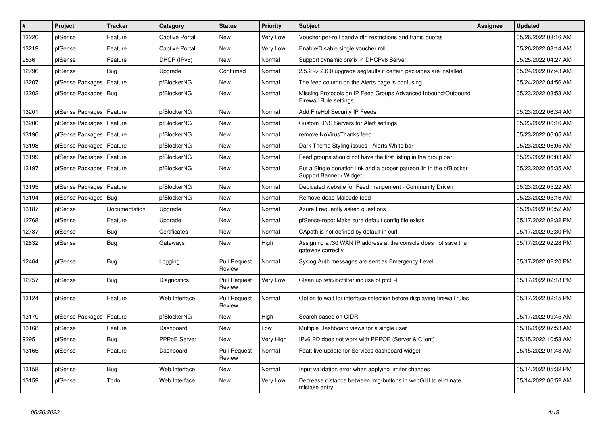| #     | Project                    | <b>Tracker</b> | Category              | <b>Status</b>                 | <b>Priority</b> | <b>Subject</b>                                                                                  | <b>Assignee</b> | <b>Updated</b>      |
|-------|----------------------------|----------------|-----------------------|-------------------------------|-----------------|-------------------------------------------------------------------------------------------------|-----------------|---------------------|
| 13220 | pfSense                    | Feature        | <b>Captive Portal</b> | New                           | Very Low        | Voucher per-roll bandwidth restrictions and traffic quotas                                      |                 | 05/26/2022 08:16 AM |
| 13219 | pfSense                    | Feature        | <b>Captive Portal</b> | New                           | Very Low        | Enable/Disable single voucher roll                                                              |                 | 05/26/2022 08:14 AM |
| 9536  | pfSense                    | Feature        | DHCP (IPv6)           | New                           | Normal          | Support dynamic prefix in DHCPv6 Server                                                         |                 | 05/25/2022 04:27 AM |
| 12796 | pfSense                    | Bug            | Upgrade               | Confirmed                     | Normal          | 2.5.2 -> 2.6.0 upgrade segfaults if certain packages are installed.                             |                 | 05/24/2022 07:43 AM |
| 13207 | pfSense Packages           | Feature        | pfBlockerNG           | New                           | Normal          | The feed column on the Alerts page is confusing                                                 |                 | 05/24/2022 04:56 AM |
| 13202 | pfSense Packages   Bug     |                | pfBlockerNG           | New                           | Normal          | Missing Protocols on IP Feed Groups Advanced Inbound/Outbound<br><b>Firewall Rule settings</b>  |                 | 05/23/2022 08:58 AM |
| 13201 | pfSense Packages           | Feature        | pfBlockerNG           | <b>New</b>                    | Normal          | Add FireHol Security IP Feeds                                                                   |                 | 05/23/2022 06:34 AM |
| 13200 | pfSense Packages   Feature |                | pfBlockerNG           | <b>New</b>                    | Normal          | Custom DNS Servers for Alert settings                                                           |                 | 05/23/2022 06:16 AM |
| 13196 | pfSense Packages           | Feature        | pfBlockerNG           | New                           | Normal          | remove NoVirusThanks feed                                                                       |                 | 05/23/2022 06:05 AM |
| 13198 | pfSense Packages           | Feature        | pfBlockerNG           | New                           | Normal          | Dark Theme Styling issues - Alerts White bar                                                    |                 | 05/23/2022 06:05 AM |
| 13199 | pfSense Packages           | Feature        | pfBlockerNG           | <b>New</b>                    | Normal          | Feed groups should not have the first listing in the group bar                                  |                 | 05/23/2022 06:03 AM |
| 13197 | pfSense Packages   Feature |                | pfBlockerNG           | New                           | Normal          | Put a Single donation link and a proper patreon lin in the pfBlocker<br>Support Banner / Widget |                 | 05/23/2022 05:35 AM |
| 13195 | pfSense Packages           | Feature        | pfBlockerNG           | New                           | Normal          | Dedicated website for Feed mangement - Community Driven                                         |                 | 05/23/2022 05:22 AM |
| 13194 | pfSense Packages           | Bug            | pfBlockerNG           | <b>New</b>                    | Normal          | Remove dead Malc0de feed                                                                        |                 | 05/23/2022 05:16 AM |
| 13187 | pfSense                    | Documentation  | Upgrade               | New                           | Normal          | Azure Frequently asked questions                                                                |                 | 05/20/2022 06:52 AM |
| 12768 | pfSense                    | Feature        | Upgrade               | New                           | Normal          | pfSense-repo: Make sure default config file exists                                              |                 | 05/17/2022 02:32 PM |
| 12737 | pfSense                    | <b>Bug</b>     | Certificates          | <b>New</b>                    | Normal          | CApath is not defined by default in curl                                                        |                 | 05/17/2022 02:30 PM |
| 12632 | pfSense                    | Bug            | Gateways              | <b>New</b>                    | High            | Assigning a /30 WAN IP address at the console does not save the<br>gateway correctly            |                 | 05/17/2022 02:28 PM |
| 12464 | pfSense                    | <b>Bug</b>     | Logging               | <b>Pull Request</b><br>Review | Normal          | Syslog Auth messages are sent as Emergency Level                                                |                 | 05/17/2022 02:20 PM |
| 12757 | pfSense                    | Bug            | Diagnostics           | <b>Pull Request</b><br>Review | Very Low        | Clean up /etc/inc/filter.inc use of pfctl -F                                                    |                 | 05/17/2022 02:18 PM |
| 13124 | pfSense                    | Feature        | Web Interface         | <b>Pull Request</b><br>Review | Normal          | Option to wait for interface selection before displaying firewall rules                         |                 | 05/17/2022 02:15 PM |
| 13179 | pfSense Packages           | Feature        | pfBlockerNG           | New                           | High            | Search based on CIDR                                                                            |                 | 05/17/2022 09:45 AM |
| 13168 | pfSense                    | Feature        | Dashboard             | New                           | Low             | Multiple Dashboard views for a single user                                                      |                 | 05/16/2022 07:53 AM |
| 9295  | pfSense                    | <b>Bug</b>     | <b>PPPoE Server</b>   | New                           | Very High       | IPv6 PD does not work with PPPOE (Server & Client)                                              |                 | 05/15/2022 10:53 AM |
| 13165 | pfSense                    | Feature        | Dashboard             | <b>Pull Request</b><br>Review | Normal          | Feat: live update for Services dashboard widget                                                 |                 | 05/15/2022 01:48 AM |
| 13158 | pfSense                    | Bug            | Web Interface         | New                           | Normal          | Input validation error when applying limiter changes                                            |                 | 05/14/2022 05:32 PM |
| 13159 | pfSense                    | Todo           | Web Interface         | New                           | Very Low        | Decrease distance between img-buttons in webGUI to eliminate<br>mistake entry                   |                 | 05/14/2022 06:52 AM |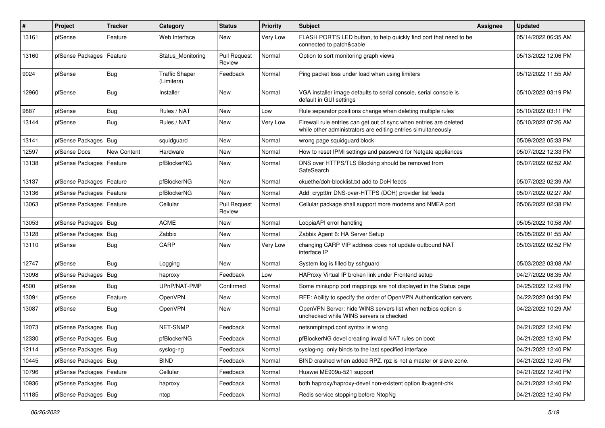| #     | <b>Project</b>             | <b>Tracker</b>     | Category                            | <b>Status</b>                 | <b>Priority</b> | <b>Subject</b>                                                                                                                      | Assignee | <b>Updated</b>      |
|-------|----------------------------|--------------------|-------------------------------------|-------------------------------|-----------------|-------------------------------------------------------------------------------------------------------------------------------------|----------|---------------------|
| 13161 | pfSense                    | Feature            | Web Interface                       | New                           | Very Low        | FLASH PORT'S LED button, to help quickly find port that need to be<br>connected to patch&cable                                      |          | 05/14/2022 06:35 AM |
| 13160 | pfSense Packages           | Feature            | Status Monitoring                   | <b>Pull Request</b><br>Review | Normal          | Option to sort monitoring graph views                                                                                               |          | 05/13/2022 12:06 PM |
| 9024  | pfSense                    | Bug                | <b>Traffic Shaper</b><br>(Limiters) | Feedback                      | Normal          | Ping packet loss under load when using limiters                                                                                     |          | 05/12/2022 11:55 AM |
| 12960 | pfSense                    | Bug                | Installer                           | New                           | Normal          | VGA installer image defaults to serial console, serial console is<br>default in GUI settings                                        |          | 05/10/2022 03:19 PM |
| 9887  | pfSense                    | <b>Bug</b>         | Rules / NAT                         | New                           | Low             | Rule separator positions change when deleting multiple rules                                                                        |          | 05/10/2022 03:11 PM |
| 13144 | pfSense                    | Bug                | Rules / NAT                         | New                           | Very Low        | Firewall rule entries can get out of sync when entries are deleted<br>while other administrators are editing entries simultaneously |          | 05/10/2022 07:26 AM |
| 13141 | pfSense Packages           | Bug                | squidguard                          | New                           | Normal          | wrong page squidguard block                                                                                                         |          | 05/09/2022 05:33 PM |
| 12597 | pfSense Docs               | <b>New Content</b> | Hardware                            | <b>New</b>                    | Normal          | How to reset IPMI settings and password for Netgate appliances                                                                      |          | 05/07/2022 12:33 PM |
| 13138 | pfSense Packages           | Feature            | pfBlockerNG                         | New                           | Normal          | DNS over HTTPS/TLS Blocking should be removed from<br>SafeSearch                                                                    |          | 05/07/2022 02:52 AM |
| 13137 | pfSense Packages           | Feature            | pfBlockerNG                         | <b>New</b>                    | Normal          | ckuethe/doh-blocklist.txt add to DoH feeds                                                                                          |          | 05/07/2022 02:39 AM |
| 13136 | pfSense Packages           | Feature            | pfBlockerNG                         | New                           | Normal          | Add crypt0rr DNS-over-HTTPS (DOH) provider list feeds                                                                               |          | 05/07/2022 02:27 AM |
| 13063 | pfSense Packages   Feature |                    | Cellular                            | <b>Pull Request</b><br>Review | Normal          | Cellular package shall support more modems and NMEA port                                                                            |          | 05/06/2022 02:38 PM |
| 13053 | pfSense Packages   Bug     |                    | <b>ACME</b>                         | New                           | Normal          | LoopiaAPI error handling                                                                                                            |          | 05/05/2022 10:58 AM |
| 13128 | pfSense Packages           | <b>Bug</b>         | Zabbix                              | New                           | Normal          | Zabbix Agent 6: HA Server Setup                                                                                                     |          | 05/05/2022 01:55 AM |
| 13110 | pfSense                    | <b>Bug</b>         | CARP                                | New                           | Very Low        | changing CARP VIP address does not update outbound NAT<br>interface IP                                                              |          | 05/03/2022 02:52 PM |
| 12747 | pfSense                    | <b>Bug</b>         | Logging                             | <b>New</b>                    | Normal          | System log is filled by sshguard                                                                                                    |          | 05/03/2022 03:08 AM |
| 13098 | pfSense Packages           | Bug                | haproxy                             | Feedback                      | Low             | HAProxy Virtual IP broken link under Frontend setup                                                                                 |          | 04/27/2022 08:35 AM |
| 4500  | pfSense                    | <b>Bug</b>         | UPnP/NAT-PMP                        | Confirmed                     | Normal          | Some miniupnp port mappings are not displayed in the Status page                                                                    |          | 04/25/2022 12:49 PM |
| 13091 | pfSense                    | Feature            | <b>OpenVPN</b>                      | New                           | Normal          | RFE: Ability to specify the order of OpenVPN Authentication servers                                                                 |          | 04/22/2022 04:30 PM |
| 13087 | pfSense                    | <b>Bug</b>         | OpenVPN                             | New                           | Normal          | OpenVPN Server: hide WINS servers list when netbios option is<br>unchecked while WINS servers is checked                            |          | 04/22/2022 10:29 AM |
| 12073 | pfSense Packages   Bug     |                    | NET-SNMP                            | Feedback                      | Normal          | netsnmptrapd.conf syntax is wrong                                                                                                   |          | 04/21/2022 12:40 PM |
| 12330 | pfSense Packages   Bug     |                    | pfBlockerNG                         | Feedback                      | Normal          | pfBlockerNG devel creating invalid NAT rules on boot                                                                                |          | 04/21/2022 12:40 PM |
| 12114 | pfSense Packages   Bug     |                    | syslog-ng                           | Feedback                      | Normal          | syslog-ng only binds to the last specified interface                                                                                |          | 04/21/2022 12:40 PM |
| 10445 | pfSense Packages   Bug     |                    | <b>BIND</b>                         | Feedback                      | Normal          | BIND crashed when added RPZ. rpz is not a master or slave zone.                                                                     |          | 04/21/2022 12:40 PM |
| 10796 | pfSense Packages   Feature |                    | Cellular                            | Feedback                      | Normal          | Huawei ME909u-521 support                                                                                                           |          | 04/21/2022 12:40 PM |
| 10936 | pfSense Packages   Bug     |                    | haproxy                             | Feedback                      | Normal          | both haproxy/haproxy-devel non-existent option lb-agent-chk                                                                         |          | 04/21/2022 12:40 PM |
| 11185 | pfSense Packages   Bug     |                    | ntop                                | Feedback                      | Normal          | Redis service stopping before NtopNg                                                                                                |          | 04/21/2022 12:40 PM |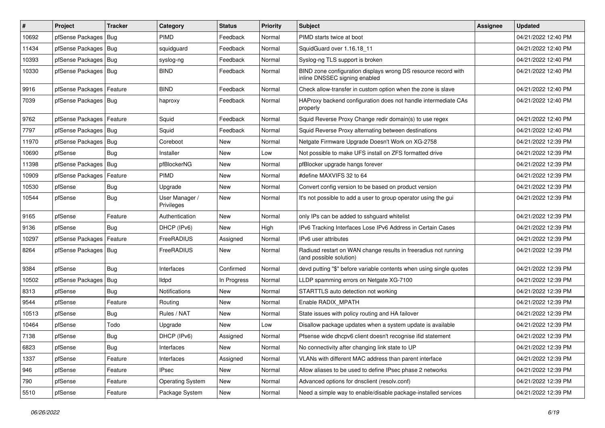| #     | Project                | <b>Tracker</b> | Category                     | <b>Status</b> | <b>Priority</b> | <b>Subject</b>                                                                                  | <b>Assignee</b> | <b>Updated</b>      |
|-------|------------------------|----------------|------------------------------|---------------|-----------------|-------------------------------------------------------------------------------------------------|-----------------|---------------------|
| 10692 | pfSense Packages       | Bug            | <b>PIMD</b>                  | Feedback      | Normal          | PIMD starts twice at boot                                                                       |                 | 04/21/2022 12:40 PM |
| 11434 | pfSense Packages       | Bug            | squidguard                   | Feedback      | Normal          | SquidGuard over 1.16.18 11                                                                      |                 | 04/21/2022 12:40 PM |
| 10393 | pfSense Packages       | <b>Bug</b>     | syslog-ng                    | Feedback      | Normal          | Syslog-ng TLS support is broken                                                                 |                 | 04/21/2022 12:40 PM |
| 10330 | pfSense Packages   Bug |                | <b>BIND</b>                  | Feedback      | Normal          | BIND zone configuration displays wrong DS resource record with<br>inline DNSSEC signing enabled |                 | 04/21/2022 12:40 PM |
| 9916  | pfSense Packages       | Feature        | <b>BIND</b>                  | Feedback      | Normal          | Check allow-transfer in custom option when the zone is slave                                    |                 | 04/21/2022 12:40 PM |
| 7039  | pfSense Packages   Bug |                | haproxy                      | Feedback      | Normal          | HAProxy backend configuration does not handle intermediate CAs<br>properly                      |                 | 04/21/2022 12:40 PM |
| 9762  | pfSense Packages       | Feature        | Squid                        | Feedback      | Normal          | Squid Reverse Proxy Change redir domain(s) to use regex                                         |                 | 04/21/2022 12:40 PM |
| 7797  | pfSense Packages       | Bug            | Squid                        | Feedback      | Normal          | Squid Reverse Proxy alternating between destinations                                            |                 | 04/21/2022 12:40 PM |
| 11970 | pfSense Packages       | <b>Bug</b>     | Coreboot                     | New           | Normal          | Netgate Firmware Upgrade Doesn't Work on XG-2758                                                |                 | 04/21/2022 12:39 PM |
| 10690 | pfSense                | <b>Bug</b>     | Installer                    | <b>New</b>    | Low             | Not possible to make UFS install on ZFS formatted drive                                         |                 | 04/21/2022 12:39 PM |
| 11398 | pfSense Packages       | Bug            | pfBlockerNG                  | New           | Normal          | pfBlocker upgrade hangs forever                                                                 |                 | 04/21/2022 12:39 PM |
| 10909 | pfSense Packages       | Feature        | <b>PIMD</b>                  | <b>New</b>    | Normal          | #define MAXVIFS 32 to 64                                                                        |                 | 04/21/2022 12:39 PM |
| 10530 | pfSense                | Bug            | Upgrade                      | New           | Normal          | Convert config version to be based on product version                                           |                 | 04/21/2022 12:39 PM |
| 10544 | pfSense                | Bug            | User Manager /<br>Privileges | New           | Normal          | It's not possible to add a user to group operator using the gui                                 |                 | 04/21/2022 12:39 PM |
| 9165  | pfSense                | Feature        | Authentication               | <b>New</b>    | Normal          | only IPs can be added to sshguard whitelist                                                     |                 | 04/21/2022 12:39 PM |
| 9136  | pfSense                | Bug            | DHCP (IPv6)                  | New           | High            | IPv6 Tracking Interfaces Lose IPv6 Address in Certain Cases                                     |                 | 04/21/2022 12:39 PM |
| 10297 | pfSense Packages       | Feature        | FreeRADIUS                   | Assigned      | Normal          | IPv6 user attributes                                                                            |                 | 04/21/2022 12:39 PM |
| 8264  | pfSense Packages       | <b>Bug</b>     | FreeRADIUS                   | <b>New</b>    | Normal          | Radiusd restart on WAN change results in freeradius not running<br>(and possible solution)      |                 | 04/21/2022 12:39 PM |
| 9384  | pfSense                | <b>Bug</b>     | Interfaces                   | Confirmed     | Normal          | devd putting "\$" before variable contents when using single quotes                             |                 | 04/21/2022 12:39 PM |
| 10502 | pfSense Packages       | <b>Bug</b>     | <b>Ildpd</b>                 | In Progress   | Normal          | LLDP spamming errors on Netgate XG-7100                                                         |                 | 04/21/2022 12:39 PM |
| 8313  | pfSense                | Bug            | Notifications                | New           | Normal          | STARTTLS auto detection not working                                                             |                 | 04/21/2022 12:39 PM |
| 9544  | pfSense                | Feature        | Routing                      | New           | Normal          | Enable RADIX_MPATH                                                                              |                 | 04/21/2022 12:39 PM |
| 10513 | pfSense                | <b>Bug</b>     | Rules / NAT                  | New           | Normal          | State issues with policy routing and HA failover                                                |                 | 04/21/2022 12:39 PM |
| 10464 | pfSense                | Todo           | Upgrade                      | New           | Low             | Disallow package updates when a system update is available                                      |                 | 04/21/2022 12:39 PM |
| 7138  | pfSense                | Bug            | DHCP (IPv6)                  | Assigned      | Normal          | Pfsense wide dhcpv6 client doesn't recognise ifid statement                                     |                 | 04/21/2022 12:39 PM |
| 6823  | pfSense                | <b>Bug</b>     | Interfaces                   | New           | Normal          | No connectivity after changing link state to UP                                                 |                 | 04/21/2022 12:39 PM |
| 1337  | pfSense                | Feature        | Interfaces                   | Assigned      | Normal          | VLANs with different MAC address than parent interface                                          |                 | 04/21/2022 12:39 PM |
| 946   | pfSense                | Feature        | <b>IPsec</b>                 | New           | Normal          | Allow aliases to be used to define IPsec phase 2 networks                                       |                 | 04/21/2022 12:39 PM |
| 790   | pfSense                | Feature        | <b>Operating System</b>      | New           | Normal          | Advanced options for dnsclient (resolv.conf)                                                    |                 | 04/21/2022 12:39 PM |
| 5510  | pfSense                | Feature        | Package System               | New           | Normal          | Need a simple way to enable/disable package-installed services                                  |                 | 04/21/2022 12:39 PM |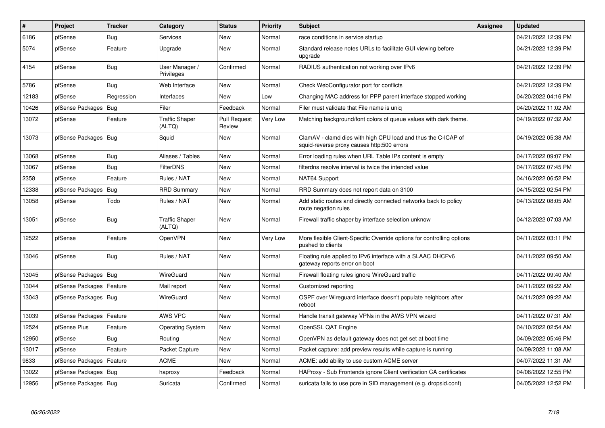| $\sharp$ | Project                | <b>Tracker</b> | Category                        | <b>Status</b>                 | <b>Priority</b> | <b>Subject</b>                                                                                              | <b>Assignee</b> | <b>Updated</b>      |
|----------|------------------------|----------------|---------------------------------|-------------------------------|-----------------|-------------------------------------------------------------------------------------------------------------|-----------------|---------------------|
| 6186     | pfSense                | <b>Bug</b>     | Services                        | <b>New</b>                    | Normal          | race conditions in service startup                                                                          |                 | 04/21/2022 12:39 PM |
| 5074     | pfSense                | Feature        | Upgrade                         | New                           | Normal          | Standard release notes URLs to facilitate GUI viewing before<br>upgrade                                     |                 | 04/21/2022 12:39 PM |
| 4154     | pfSense                | <b>Bug</b>     | User Manager /<br>Privileges    | Confirmed                     | Normal          | RADIUS authentication not working over IPv6                                                                 |                 | 04/21/2022 12:39 PM |
| 5786     | pfSense                | Bug            | Web Interface                   | <b>New</b>                    | Normal          | Check WebConfigurator port for conflicts                                                                    |                 | 04/21/2022 12:39 PM |
| 12183    | pfSense                | Regression     | Interfaces                      | <b>New</b>                    | Low             | Changing MAC address for PPP parent interface stopped working                                               |                 | 04/20/2022 04:16 PM |
| 10426    | pfSense Packages       | Bug            | Filer                           | Feedback                      | Normal          | Filer must validate that File name is uniq                                                                  |                 | 04/20/2022 11:02 AM |
| 13072    | pfSense                | Feature        | <b>Traffic Shaper</b><br>(ALTQ) | <b>Pull Request</b><br>Review | Very Low        | Matching background/font colors of queue values with dark theme.                                            |                 | 04/19/2022 07:32 AM |
| 13073    | pfSense Packages   Bug |                | Squid                           | <b>New</b>                    | Normal          | ClamAV - clamd dies with high CPU load and thus the C-ICAP of<br>squid-reverse proxy causes http:500 errors |                 | 04/19/2022 05:38 AM |
| 13068    | pfSense                | Bug            | Aliases / Tables                | New                           | Normal          | Error loading rules when URL Table IPs content is empty                                                     |                 | 04/17/2022 09:07 PM |
| 13067    | pfSense                | <b>Bug</b>     | <b>FilterDNS</b>                | New                           | Normal          | filterdns resolve interval is twice the intended value                                                      |                 | 04/17/2022 07:45 PM |
| 2358     | pfSense                | Feature        | Rules / NAT                     | New                           | Normal          | NAT64 Support                                                                                               |                 | 04/16/2022 06:52 PM |
| 12338    | pfSense Packages       | <b>Bug</b>     | <b>RRD Summary</b>              | New                           | Normal          | RRD Summary does not report data on 3100                                                                    |                 | 04/15/2022 02:54 PM |
| 13058    | pfSense                | Todo           | Rules / NAT                     | <b>New</b>                    | Normal          | Add static routes and directly connected networks back to policy<br>route negation rules                    |                 | 04/13/2022 08:05 AM |
| 13051    | pfSense                | Bug            | <b>Traffic Shaper</b><br>(ALTQ) | <b>New</b>                    | Normal          | Firewall traffic shaper by interface selection unknow                                                       |                 | 04/12/2022 07:03 AM |
| 12522    | pfSense                | Feature        | OpenVPN                         | New                           | Very Low        | More flexible Client-Specific Override options for controlling options<br>pushed to clients                 |                 | 04/11/2022 03:11 PM |
| 13046    | pfSense                | Bug            | Rules / NAT                     | New                           | Normal          | Floating rule applied to IPv6 interface with a SLAAC DHCPv6<br>gateway reports error on boot                |                 | 04/11/2022 09:50 AM |
| 13045    | pfSense Packages   Bug |                | WireGuard                       | New                           | Normal          | Firewall floating rules ignore WireGuard traffic                                                            |                 | 04/11/2022 09:40 AM |
| 13044    | pfSense Packages       | Feature        | Mail report                     | New                           | Normal          | Customized reporting                                                                                        |                 | 04/11/2022 09:22 AM |
| 13043    | pfSense Packages   Bug |                | WireGuard                       | New                           | Normal          | OSPF over Wireguard interface doesn't populate neighbors after<br>reboot                                    |                 | 04/11/2022 09:22 AM |
| 13039    | pfSense Packages       | Feature        | AWS VPC                         | <b>New</b>                    | Normal          | Handle transit gateway VPNs in the AWS VPN wizard                                                           |                 | 04/11/2022 07:31 AM |
| 12524    | pfSense Plus           | Feature        | <b>Operating System</b>         | <b>New</b>                    | Normal          | OpenSSL QAT Engine                                                                                          |                 | 04/10/2022 02:54 AM |
| 12950    | pfSense                | Bug            | Routing                         | <b>New</b>                    | Normal          | OpenVPN as default gateway does not get set at boot time                                                    |                 | 04/09/2022 05:46 PM |
| 13017    | pfSense                | Feature        | Packet Capture                  | New                           | Normal          | Packet capture: add preview results while capture is running                                                |                 | 04/09/2022 11:08 AM |
| 9833     | pfSense Packages       | Feature        | <b>ACME</b>                     | <b>New</b>                    | Normal          | ACME: add ability to use custom ACME server                                                                 |                 | 04/07/2022 11:31 AM |
| 13022    | pfSense Packages   Bug |                | haproxy                         | Feedback                      | Normal          | HAProxy - Sub Frontends ignore Client verification CA certificates                                          |                 | 04/06/2022 12:55 PM |
| 12956    | pfSense Packages   Bug |                | Suricata                        | Confirmed                     | Normal          | suricata fails to use pcre in SID management (e.g. dropsid.conf)                                            |                 | 04/05/2022 12:52 PM |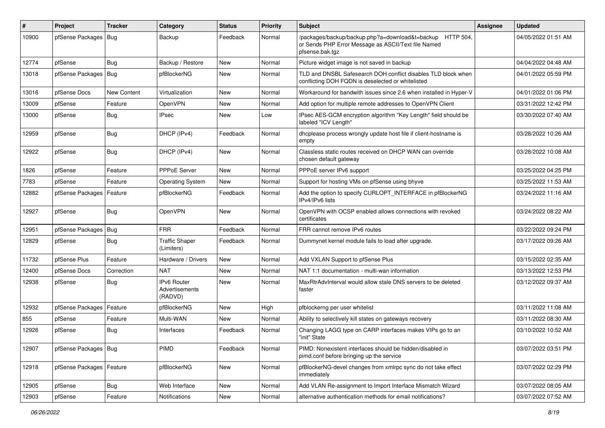| $\sharp$ | Project                    | <b>Tracker</b> | Category                                 | <b>Status</b> | <b>Priority</b> | Subject                                                                                                                             | Assignee | <b>Updated</b>      |
|----------|----------------------------|----------------|------------------------------------------|---------------|-----------------|-------------------------------------------------------------------------------------------------------------------------------------|----------|---------------------|
| 10900    | pfSense Packages   Bug     |                | Backup                                   | Feedback      | Normal          | /packages/backup/backup.php?a=download&t=backup HTTP 504,<br>or Sends PHP Error Message as ASCII/Text file Named<br>pfsense.bak.tgz |          | 04/05/2022 01:51 AM |
| 12774    | pfSense                    | Bug            | Backup / Restore                         | <b>New</b>    | Normal          | Picture widget image is not saved in backup                                                                                         |          | 04/04/2022 04:48 AM |
| 13018    | pfSense Packages   Bug     |                | pfBlockerNG                              | <b>New</b>    | Normal          | TLD and DNSBL Safesearch DOH conflict disables TLD block when<br>conflicting DOH FQDN is deselected or whitelisted                  |          | 04/01/2022 05:59 PM |
| 13016    | pfSense Docs               | New Content    | Virtualization                           | <b>New</b>    | Normal          | Workaround for bandwith issues since 2.6 when installed in Hyper-V                                                                  |          | 04/01/2022 01:06 PM |
| 13009    | pfSense                    | Feature        | OpenVPN                                  | <b>New</b>    | Normal          | Add option for multiple remote addresses to OpenVPN Client                                                                          |          | 03/31/2022 12:42 PM |
| 13000    | pfSense                    | <b>Bug</b>     | <b>IPsec</b>                             | New           | Low             | IPsec AES-GCM encryption algorithm "Key Length" field should be<br>labeled "ICV Length"                                             |          | 03/30/2022 07:40 AM |
| 12959    | pfSense                    | <b>Bug</b>     | DHCP (IPv4)                              | Feedback      | Normal          | dhcplease process wrongly update host file if client-hostname is<br>empty                                                           |          | 03/28/2022 10:26 AM |
| 12922    | pfSense                    | <b>Bug</b>     | DHCP (IPv4)                              | <b>New</b>    | Normal          | Classless static routes received on DHCP WAN can override<br>chosen default gateway                                                 |          | 03/28/2022 10:08 AM |
| 1826     | pfSense                    | Feature        | <b>PPPoE Server</b>                      | <b>New</b>    | Normal          | PPPoE server IPv6 support                                                                                                           |          | 03/25/2022 04:25 PM |
| 7783     | pfSense                    | Feature        | <b>Operating System</b>                  | <b>New</b>    | Normal          | Support for hosting VMs on pfSense using bhyve                                                                                      |          | 03/25/2022 11:53 AM |
| 12882    | pfSense Packages           | Feature        | pfBlockerNG                              | Feedback      | Normal          | Add the option to specify CURLOPT_INTERFACE in pfBlockerNG<br>IPv4/IPv6 lists                                                       |          | 03/24/2022 11:16 AM |
| 12927    | pfSense                    | <b>Bug</b>     | OpenVPN                                  | <b>New</b>    | Normal          | OpenVPN with OCSP enabled allows connections with revoked<br>certificates                                                           |          | 03/24/2022 08:22 AM |
| 12951    | pfSense Packages   Bug     |                | <b>FRR</b>                               | Feedback      | Normal          | FRR cannot remove IPv6 routes                                                                                                       |          | 03/22/2022 09:24 PM |
| 12829    | pfSense                    | Bug            | <b>Traffic Shaper</b><br>(Limiters)      | Feedback      | Normal          | Dummynet kernel module fails to load after upgrade.                                                                                 |          | 03/17/2022 09:26 AM |
| 11732    | pfSense Plus               | Feature        | Hardware / Drivers                       | <b>New</b>    | Normal          | Add VXLAN Support to pfSense Plus                                                                                                   |          | 03/15/2022 02:35 AM |
| 12400    | pfSense Docs               | Correction     | <b>NAT</b>                               | <b>New</b>    | Normal          | NAT 1:1 documentation - multi-wan information                                                                                       |          | 03/13/2022 12:53 PM |
| 12938    | pfSense                    | <b>Bug</b>     | IPv6 Router<br>Advertisements<br>(RADVD) | New           | Normal          | MaxRtrAdvInterval would allow stale DNS servers to be deleted<br>faster                                                             |          | 03/12/2022 09:37 AM |
| 12932    | pfSense Packages   Feature |                | pfBlockerNG                              | <b>New</b>    | High            | pfblockerng per user whitelist                                                                                                      |          | 03/11/2022 11:08 AM |
| 855      | pfSense                    | Feature        | Multi-WAN                                | <b>New</b>    | Normal          | Ability to selectively kill states on gateways recovery                                                                             |          | 03/11/2022 08:30 AM |
| 12926    | pfSense                    | <b>Bug</b>     | Interfaces                               | Feedback      | Normal          | Changing LAGG type on CARP interfaces makes VIPs go to an<br>"init" State                                                           |          | 03/10/2022 10:52 AM |
| 12907    | pfSense Packages   Bug     |                | PIMD                                     | Feedback      | Normal          | PIMD: Nonexistent interfaces should be hidden/disabled in<br>pimd.conf before bringing up the service                               |          | 03/07/2022 03:51 PM |
| 12918    | pfSense Packages   Feature |                | pfBlockerNG                              | New           | Normal          | pfBlockerNG-devel changes from xmlrpc sync do not take effect<br>immediately                                                        |          | 03/07/2022 02:29 PM |
| 12905    | pfSense                    | <b>Bug</b>     | Web Interface                            | New           | Normal          | Add VLAN Re-assignment to Import Interface Mismatch Wizard                                                                          |          | 03/07/2022 08:05 AM |
| 12903    | pfSense                    | Feature        | Notifications                            | New           | Normal          | alternative authentication methods for email notifications?                                                                         |          | 03/07/2022 07:52 AM |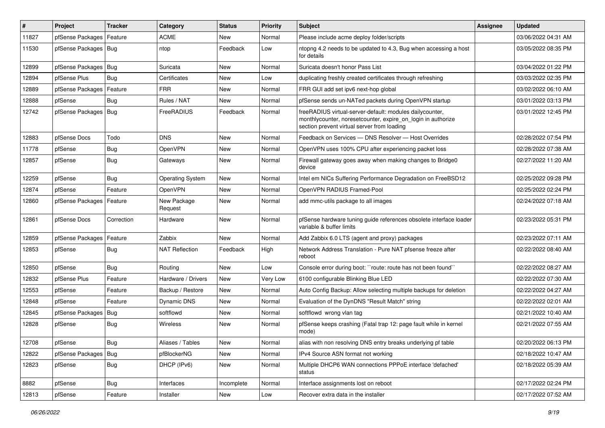| #     | Project                | <b>Tracker</b> | Category                | <b>Status</b> | <b>Priority</b> | Subject                                                                                                                                                                 | <b>Assignee</b> | <b>Updated</b>      |
|-------|------------------------|----------------|-------------------------|---------------|-----------------|-------------------------------------------------------------------------------------------------------------------------------------------------------------------------|-----------------|---------------------|
| 11827 | pfSense Packages       | Feature        | <b>ACME</b>             | New           | Normal          | Please include acme deploy folder/scripts                                                                                                                               |                 | 03/06/2022 04:31 AM |
| 11530 | pfSense Packages   Bug |                | ntop                    | Feedback      | Low             | ntopng 4.2 needs to be updated to 4.3, Bug when accessing a host<br>for details                                                                                         |                 | 03/05/2022 08:35 PM |
| 12899 | pfSense Packages   Bug |                | Suricata                | New           | Normal          | Suricata doesn't honor Pass List                                                                                                                                        |                 | 03/04/2022 01:22 PM |
| 12894 | pfSense Plus           | Bug            | Certificates            | New           | Low             | duplicating freshly created certificates through refreshing                                                                                                             |                 | 03/03/2022 02:35 PM |
| 12889 | pfSense Packages       | Feature        | <b>FRR</b>              | New           | Normal          | FRR GUI add set ipv6 next-hop global                                                                                                                                    |                 | 03/02/2022 06:10 AM |
| 12888 | pfSense                | Bug            | Rules / NAT             | New           | Normal          | pfSense sends un-NATed packets during OpenVPN startup                                                                                                                   |                 | 03/01/2022 03:13 PM |
| 12742 | pfSense Packages       | Bug            | FreeRADIUS              | Feedback      | Normal          | freeRADIUS virtual-server-default: modules dailycounter,<br>monthlycounter, noresetcounter, expire_on_login in authorize<br>section prevent virtual server from loading |                 | 03/01/2022 12:45 PM |
| 12883 | pfSense Docs           | Todo           | <b>DNS</b>              | <b>New</b>    | Normal          | Feedback on Services - DNS Resolver - Host Overrides                                                                                                                    |                 | 02/28/2022 07:54 PM |
| 11778 | pfSense                | <b>Bug</b>     | OpenVPN                 | New           | Normal          | OpenVPN uses 100% CPU after experiencing packet loss                                                                                                                    |                 | 02/28/2022 07:38 AM |
| 12857 | pfSense                | Bug            | Gateways                | <b>New</b>    | Normal          | Firewall gateway goes away when making changes to Bridge0<br>device                                                                                                     |                 | 02/27/2022 11:20 AM |
| 12259 | pfSense                | Bug            | <b>Operating System</b> | <b>New</b>    | Normal          | Intel em NICs Suffering Performance Degradation on FreeBSD12                                                                                                            |                 | 02/25/2022 09:28 PM |
| 12874 | pfSense                | Feature        | OpenVPN                 | <b>New</b>    | Normal          | OpenVPN RADIUS Framed-Pool                                                                                                                                              |                 | 02/25/2022 02:24 PM |
| 12860 | pfSense Packages       | Feature        | New Package<br>Request  | New           | Normal          | add mmc-utils package to all images                                                                                                                                     |                 | 02/24/2022 07:18 AM |
| 12861 | pfSense Docs           | Correction     | Hardware                | <b>New</b>    | Normal          | pfSense hardware tuning guide references obsolete interface loader<br>variable & buffer limits                                                                          |                 | 02/23/2022 05:31 PM |
| 12859 | pfSense Packages       | Feature        | Zabbix                  | <b>New</b>    | Normal          | Add Zabbix 6.0 LTS (agent and proxy) packages                                                                                                                           |                 | 02/23/2022 07:11 AM |
| 12853 | pfSense                | Bug            | <b>NAT Reflection</b>   | Feedback      | High            | Network Address Translation - Pure NAT pfsense freeze after<br>reboot                                                                                                   |                 | 02/22/2022 08:40 AM |
| 12850 | pfSense                | Bug            | Routing                 | <b>New</b>    | Low             | Console error during boot: "route: route has not been found"                                                                                                            |                 | 02/22/2022 08:27 AM |
| 12832 | pfSense Plus           | Feature        | Hardware / Drivers      | New           | Very Low        | 6100 configurable Blinking Blue LED                                                                                                                                     |                 | 02/22/2022 07:30 AM |
| 12553 | pfSense                | Feature        | Backup / Restore        | New           | Normal          | Auto Config Backup: Allow selecting multiple backups for deletion                                                                                                       |                 | 02/22/2022 04:27 AM |
| 12848 | pfSense                | Feature        | <b>Dynamic DNS</b>      | <b>New</b>    | Normal          | Evaluation of the DynDNS "Result Match" string                                                                                                                          |                 | 02/22/2022 02:01 AM |
| 12845 | pfSense Packages       | Bug            | softflowd               | New           | Normal          | softflowd wrong vlan tag                                                                                                                                                |                 | 02/21/2022 10:40 AM |
| 12828 | pfSense                | Bug            | Wireless                | New           | Normal          | pfSense keeps crashing (Fatal trap 12: page fault while in kernel<br>mode)                                                                                              |                 | 02/21/2022 07:55 AM |
| 12708 | pfSense                | <b>Bug</b>     | Aliases / Tables        | New           | Normal          | alias with non resolving DNS entry breaks underlying pf table                                                                                                           |                 | 02/20/2022 06:13 PM |
| 12822 | pfSense Packages   Bug |                | pfBlockerNG             | New           | Normal          | IPv4 Source ASN format not working                                                                                                                                      |                 | 02/18/2022 10:47 AM |
| 12823 | pfSense                | <b>Bug</b>     | DHCP (IPv6)             | New           | Normal          | Multiple DHCP6 WAN connections PPPoE interface 'defached'<br>status                                                                                                     |                 | 02/18/2022 05:39 AM |
| 8882  | pfSense                | <b>Bug</b>     | Interfaces              | Incomplete    | Normal          | Interface assignments lost on reboot                                                                                                                                    |                 | 02/17/2022 02:24 PM |
| 12813 | pfSense                | Feature        | Installer               | New           | Low             | Recover extra data in the installer                                                                                                                                     |                 | 02/17/2022 07:52 AM |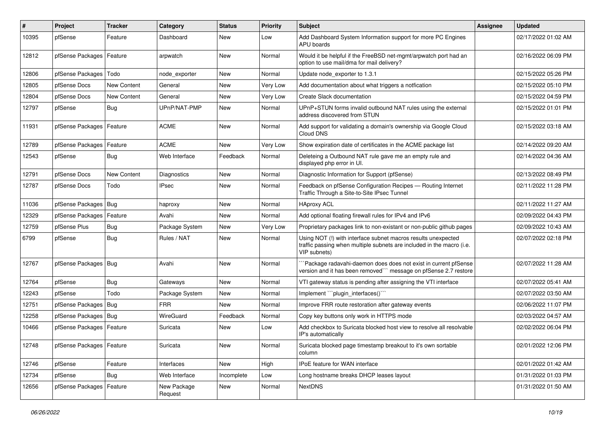| $\sharp$ | Project                    | <b>Tracker</b> | Category               | <b>Status</b> | <b>Priority</b> | <b>Subject</b>                                                                                                                                         | <b>Assignee</b> | <b>Updated</b>      |
|----------|----------------------------|----------------|------------------------|---------------|-----------------|--------------------------------------------------------------------------------------------------------------------------------------------------------|-----------------|---------------------|
| 10395    | pfSense                    | Feature        | Dashboard              | New           | Low             | Add Dashboard System Information support for more PC Engines<br>APU boards                                                                             |                 | 02/17/2022 01:02 AM |
| 12812    | pfSense Packages           | Feature        | arpwatch               | <b>New</b>    | Normal          | Would it be helpful if the FreeBSD net-mgmt/arpwatch port had an<br>option to use mail/dma for mail delivery?                                          |                 | 02/16/2022 06:09 PM |
| 12806    | pfSense Packages           | Todo           | node exporter          | <b>New</b>    | Normal          | Update node exporter to 1.3.1                                                                                                                          |                 | 02/15/2022 05:26 PM |
| 12805    | pfSense Docs               | New Content    | General                | <b>New</b>    | Very Low        | Add documentation about what triggers a notfication                                                                                                    |                 | 02/15/2022 05:10 PM |
| 12804    | pfSense Docs               | New Content    | General                | <b>New</b>    | Very Low        | Create Slack documentation                                                                                                                             |                 | 02/15/2022 04:59 PM |
| 12797    | pfSense                    | <b>Bug</b>     | UPnP/NAT-PMP           | <b>New</b>    | Normal          | UPnP+STUN forms invalid outbound NAT rules using the external<br>address discovered from STUN                                                          |                 | 02/15/2022 01:01 PM |
| 11931    | pfSense Packages   Feature |                | <b>ACME</b>            | <b>New</b>    | Normal          | Add support for validating a domain's ownership via Google Cloud<br>Cloud DNS                                                                          |                 | 02/15/2022 03:18 AM |
| 12789    | pfSense Packages           | Feature        | <b>ACME</b>            | <b>New</b>    | Very Low        | Show expiration date of certificates in the ACME package list                                                                                          |                 | 02/14/2022 09:20 AM |
| 12543    | pfSense                    | Bug            | Web Interface          | Feedback      | Normal          | Deleteing a Outbound NAT rule gave me an empty rule and<br>displayed php error in UI.                                                                  |                 | 02/14/2022 04:36 AM |
| 12791    | pfSense Docs               | New Content    | Diagnostics            | <b>New</b>    | Normal          | Diagnostic Information for Support (pfSense)                                                                                                           |                 | 02/13/2022 08:49 PM |
| 12787    | pfSense Docs               | Todo           | <b>IPsec</b>           | New           | Normal          | Feedback on pfSense Configuration Recipes - Routing Internet<br>Traffic Through a Site-to-Site IPsec Tunnel                                            |                 | 02/11/2022 11:28 PM |
| 11036    | pfSense Packages   Bug     |                | haproxy                | <b>New</b>    | Normal          | <b>HAproxy ACL</b>                                                                                                                                     |                 | 02/11/2022 11:27 AM |
| 12329    | pfSense Packages           | Feature        | Avahi                  | <b>New</b>    | Normal          | Add optional floating firewall rules for IPv4 and IPv6                                                                                                 |                 | 02/09/2022 04:43 PM |
| 12759    | pfSense Plus               | <b>Bug</b>     | Package System         | <b>New</b>    | Very Low        | Proprietary packages link to non-existant or non-public github pages                                                                                   |                 | 02/09/2022 10:43 AM |
| 6799     | pfSense                    | <b>Bug</b>     | Rules / NAT            | <b>New</b>    | Normal          | Using NOT (!) with interface subnet macros results unexpected<br>traffic passing when multiple subnets are included in the macro (i.e.<br>VIP subnets) |                 | 02/07/2022 02:18 PM |
| 12767    | pfSense Packages   Bug     |                | Avahi                  | <b>New</b>    | Normal          | Package radavahi-daemon does does not exist in current pfSense<br>version and it has been removed"" message on pfSense 2.7 restore                     |                 | 02/07/2022 11:28 AM |
| 12764    | pfSense                    | Bug            | Gateways               | <b>New</b>    | Normal          | VTI gateway status is pending after assigning the VTI interface                                                                                        |                 | 02/07/2022 05:41 AM |
| 12243    | pfSense                    | Todo           | Package System         | <b>New</b>    | Normal          | Implement "``plugin_interfaces()```                                                                                                                    |                 | 02/07/2022 03:50 AM |
| 12751    | pfSense Packages           | Bug            | <b>FRR</b>             | New           | Normal          | Improve FRR route restoration after gateway events                                                                                                     |                 | 02/06/2022 11:07 PM |
| 12258    | pfSense Packages   Bug     |                | WireGuard              | Feedback      | Normal          | Copy key buttons only work in HTTPS mode                                                                                                               |                 | 02/03/2022 04:57 AM |
| 10466    | pfSense Packages   Feature |                | Suricata               | New           | Low             | Add checkbox to Suricata blocked host view to resolve all resolvable<br>IP's automatically                                                             |                 | 02/02/2022 06:04 PM |
| 12748    | pfSense Packages   Feature |                | Suricata               | New           | Normal          | Suricata blocked page timestamp breakout to it's own sortable<br>column                                                                                |                 | 02/01/2022 12:06 PM |
| 12746    | pfSense                    | Feature        | Interfaces             | New           | High            | IPoE feature for WAN interface                                                                                                                         |                 | 02/01/2022 01:42 AM |
| 12734    | pfSense                    | <b>Bug</b>     | Web Interface          | Incomplete    | Low             | Long hostname breaks DHCP leases layout                                                                                                                |                 | 01/31/2022 01:03 PM |
| 12656    | pfSense Packages           | Feature        | New Package<br>Request | New           | Normal          | <b>NextDNS</b>                                                                                                                                         |                 | 01/31/2022 01:50 AM |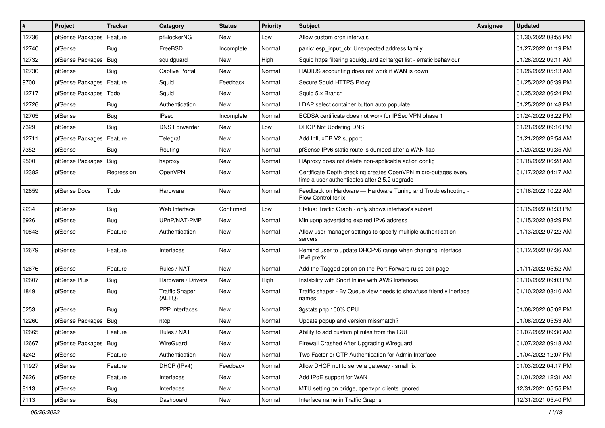| $\sharp$ | Project                | <b>Tracker</b> | Category                        | <b>Status</b> | <b>Priority</b> | <b>Subject</b>                                                                                                  | <b>Assignee</b> | <b>Updated</b>      |
|----------|------------------------|----------------|---------------------------------|---------------|-----------------|-----------------------------------------------------------------------------------------------------------------|-----------------|---------------------|
| 12736    | pfSense Packages       | Feature        | pfBlockerNG                     | <b>New</b>    | Low             | Allow custom cron intervals                                                                                     |                 | 01/30/2022 08:55 PM |
| 12740    | pfSense                | <b>Bug</b>     | FreeBSD                         | Incomplete    | Normal          | panic: esp input cb: Unexpected address family                                                                  |                 | 01/27/2022 01:19 PM |
| 12732    | pfSense Packages       | Bug            | squidquard                      | New           | High            | Squid https filtering squidguard acl target list - erratic behaviour                                            |                 | 01/26/2022 09:11 AM |
| 12730    | pfSense                | <b>Bug</b>     | <b>Captive Portal</b>           | New           | Normal          | RADIUS accounting does not work if WAN is down                                                                  |                 | 01/26/2022 05:13 AM |
| 9700     | pfSense Packages       | Feature        | Squid                           | Feedback      | Normal          | Secure Squid HTTPS Proxy                                                                                        |                 | 01/25/2022 06:39 PM |
| 12717    | pfSense Packages       | Todo           | Squid                           | New           | Normal          | Squid 5.x Branch                                                                                                |                 | 01/25/2022 06:24 PM |
| 12726    | pfSense                | <b>Bug</b>     | Authentication                  | New           | Normal          | LDAP select container button auto populate                                                                      |                 | 01/25/2022 01:48 PM |
| 12705    | pfSense                | Bug            | <b>IPsec</b>                    | Incomplete    | Normal          | ECDSA certificate does not work for IPSec VPN phase 1                                                           |                 | 01/24/2022 03:22 PM |
| 7329     | pfSense                | Bug            | <b>DNS Forwarder</b>            | New           | Low             | <b>DHCP Not Updating DNS</b>                                                                                    |                 | 01/21/2022 09:16 PM |
| 12711    | pfSense Packages       | Feature        | Telegraf                        | <b>New</b>    | Normal          | Add InfluxDB V2 support                                                                                         |                 | 01/21/2022 02:54 AM |
| 7352     | pfSense                | Bug            | Routing                         | New           | Normal          | pfSense IPv6 static route is dumped after a WAN flap                                                            |                 | 01/20/2022 09:35 AM |
| 9500     | pfSense Packages   Bug |                | haproxy                         | <b>New</b>    | Normal          | HAproxy does not delete non-applicable action config                                                            |                 | 01/18/2022 06:28 AM |
| 12382    | pfSense                | Regression     | OpenVPN                         | <b>New</b>    | Normal          | Certificate Depth checking creates OpenVPN micro-outages every<br>time a user authenticates after 2.5.2 upgrade |                 | 01/17/2022 04:17 AM |
| 12659    | pfSense Docs           | Todo           | Hardware                        | New           | Normal          | Feedback on Hardware - Hardware Tuning and Troubleshooting -<br>Flow Control for ix                             |                 | 01/16/2022 10:22 AM |
| 2234     | pfSense                | Bug            | Web Interface                   | Confirmed     | Low             | Status: Traffic Graph - only shows interface's subnet                                                           |                 | 01/15/2022 08:33 PM |
| 6926     | pfSense                | Bug            | UPnP/NAT-PMP                    | <b>New</b>    | Normal          | Miniupnp advertising expired IPv6 address                                                                       |                 | 01/15/2022 08:29 PM |
| 10843    | pfSense                | Feature        | Authentication                  | New           | Normal          | Allow user manager settings to specify multiple authentication<br>servers                                       |                 | 01/13/2022 07:22 AM |
| 12679    | pfSense                | Feature        | Interfaces                      | <b>New</b>    | Normal          | Remind user to update DHCPv6 range when changing interface<br>IPv6 prefix                                       |                 | 01/12/2022 07:36 AM |
| 12676    | pfSense                | Feature        | Rules / NAT                     | <b>New</b>    | Normal          | Add the Tagged option on the Port Forward rules edit page                                                       |                 | 01/11/2022 05:52 AM |
| 12607    | pfSense Plus           | Bug            | Hardware / Drivers              | <b>New</b>    | High            | Instability with Snort Inline with AWS Instances                                                                |                 | 01/10/2022 09:03 PM |
| 1849     | pfSense                | <b>Bug</b>     | <b>Traffic Shaper</b><br>(ALTQ) | <b>New</b>    | Normal          | Traffic shaper - By Queue view needs to show/use friendly inerface<br>names                                     |                 | 01/10/2022 08:10 AM |
| 5253     | pfSense                | Bug            | PPP Interfaces                  | New           | Normal          | 3qstats.php 100% CPU                                                                                            |                 | 01/08/2022 05:02 PM |
| 12260    | pfSense Packages       | Bug            | ntop                            | New           | Normal          | Update popup and version missmatch?                                                                             |                 | 01/08/2022 05:53 AM |
| 12665    | pfSense                | Feature        | Rules / NAT                     | New           | Normal          | Ability to add custom pf rules from the GUI                                                                     |                 | 01/07/2022 09:30 AM |
| 12667    | pfSense Packages   Bug |                | WireGuard                       | New           | Normal          | Firewall Crashed After Upgrading Wireguard                                                                      |                 | 01/07/2022 09:18 AM |
| 4242     | pfSense                | Feature        | Authentication                  | New           | Normal          | Two Factor or OTP Authentication for Admin Interface                                                            |                 | 01/04/2022 12:07 PM |
| 11927    | pfSense                | Feature        | DHCP (IPv4)                     | Feedback      | Normal          | Allow DHCP not to serve a gateway - small fix                                                                   |                 | 01/03/2022 04:17 PM |
| 7626     | pfSense                | Feature        | Interfaces                      | New           | Normal          | Add IPoE support for WAN                                                                                        |                 | 01/01/2022 12:31 AM |
| 8113     | pfSense                | <b>Bug</b>     | Interfaces                      | New           | Normal          | MTU setting on bridge, openvpn clients ignored                                                                  |                 | 12/31/2021 05:55 PM |
| 7113     | pfSense                | <b>Bug</b>     | Dashboard                       | New           | Normal          | Interface name in Traffic Graphs                                                                                |                 | 12/31/2021 05:40 PM |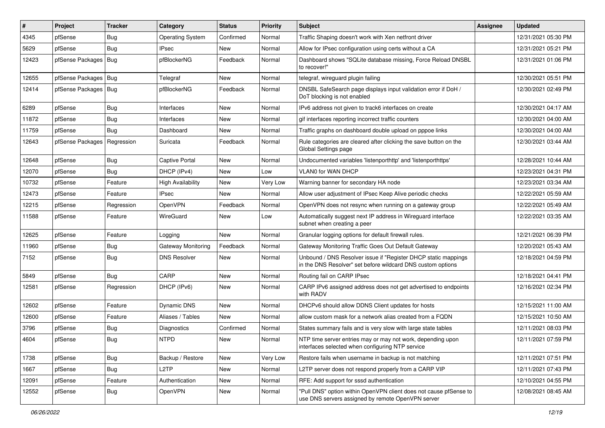| #     | Project          | <b>Tracker</b> | Category                  | <b>Status</b> | <b>Priority</b> | Subject                                                                                                                       | <b>Assignee</b> | <b>Updated</b>      |
|-------|------------------|----------------|---------------------------|---------------|-----------------|-------------------------------------------------------------------------------------------------------------------------------|-----------------|---------------------|
| 4345  | pfSense          | Bug            | <b>Operating System</b>   | Confirmed     | Normal          | Traffic Shaping doesn't work with Xen netfront driver                                                                         |                 | 12/31/2021 05:30 PM |
| 5629  | pfSense          | <b>Bug</b>     | <b>IPsec</b>              | <b>New</b>    | Normal          | Allow for IPsec configuration using certs without a CA                                                                        |                 | 12/31/2021 05:21 PM |
| 12423 | pfSense Packages | Bug            | pfBlockerNG               | Feedback      | Normal          | Dashboard shows "SQLite database missing, Force Reload DNSBL<br>to recover!"                                                  |                 | 12/31/2021 01:06 PM |
| 12655 | pfSense Packages | Bug            | Telegraf                  | <b>New</b>    | Normal          | telegraf, wireguard plugin failing                                                                                            |                 | 12/30/2021 05:51 PM |
| 12414 | pfSense Packages | Bug            | pfBlockerNG               | Feedback      | Normal          | DNSBL SafeSearch page displays input validation error if DoH /<br>DoT blocking is not enabled                                 |                 | 12/30/2021 02:49 PM |
| 6289  | pfSense          | Bug            | Interfaces                | <b>New</b>    | Normal          | IPv6 address not given to track6 interfaces on create                                                                         |                 | 12/30/2021 04:17 AM |
| 11872 | pfSense          | <b>Bug</b>     | Interfaces                | New           | Normal          | gif interfaces reporting incorrect traffic counters                                                                           |                 | 12/30/2021 04:00 AM |
| 11759 | pfSense          | <b>Bug</b>     | Dashboard                 | <b>New</b>    | Normal          | Traffic graphs on dashboard double upload on pppoe links                                                                      |                 | 12/30/2021 04:00 AM |
| 12643 | pfSense Packages | Regression     | Suricata                  | Feedback      | Normal          | Rule categories are cleared after clicking the save button on the<br>Global Settings page                                     |                 | 12/30/2021 03:44 AM |
| 12648 | pfSense          | Bug            | <b>Captive Portal</b>     | <b>New</b>    | Normal          | Undocumented variables 'listenporthttp' and 'listenporthttps'                                                                 |                 | 12/28/2021 10:44 AM |
| 12070 | pfSense          | Bug            | DHCP (IPv4)               | <b>New</b>    | Low             | <b>VLANO for WAN DHCP</b>                                                                                                     |                 | 12/23/2021 04:31 PM |
| 10732 | pfSense          | Feature        | <b>High Availability</b>  | New           | Very Low        | Warning banner for secondary HA node                                                                                          |                 | 12/23/2021 03:34 AM |
| 12473 | pfSense          | Feature        | <b>IPsec</b>              | <b>New</b>    | Normal          | Allow user adjustment of IPsec Keep Alive periodic checks                                                                     |                 | 12/22/2021 05:59 AM |
| 12215 | pfSense          | Regression     | OpenVPN                   | Feedback      | Normal          | OpenVPN does not resync when running on a gateway group                                                                       |                 | 12/22/2021 05:49 AM |
| 11588 | pfSense          | Feature        | WireGuard                 | <b>New</b>    | Low             | Automatically suggest next IP address in Wireguard interface<br>subnet when creating a peer                                   |                 | 12/22/2021 03:35 AM |
| 12625 | pfSense          | Feature        | Logging                   | <b>New</b>    | Normal          | Granular logging options for default firewall rules.                                                                          |                 | 12/21/2021 06:39 PM |
| 11960 | pfSense          | Bug            | <b>Gateway Monitoring</b> | Feedback      | Normal          | Gateway Monitoring Traffic Goes Out Default Gateway                                                                           |                 | 12/20/2021 05:43 AM |
| 7152  | pfSense          | <b>Bug</b>     | <b>DNS Resolver</b>       | New           | Normal          | Unbound / DNS Resolver issue if "Register DHCP static mappings<br>in the DNS Resolver" set before wildcard DNS custom options |                 | 12/18/2021 04:59 PM |
| 5849  | pfSense          | Bug            | CARP                      | <b>New</b>    | Normal          | Routing fail on CARP IPsec                                                                                                    |                 | 12/18/2021 04:41 PM |
| 12581 | pfSense          | Regression     | DHCP (IPv6)               | New           | Normal          | CARP IPv6 assigned address does not get advertised to endpoints<br>with RADV                                                  |                 | 12/16/2021 02:34 PM |
| 12602 | pfSense          | Feature        | Dynamic DNS               | New           | Normal          | DHCPv6 should allow DDNS Client updates for hosts                                                                             |                 | 12/15/2021 11:00 AM |
| 12600 | pfSense          | Feature        | Aliases / Tables          | <b>New</b>    | Normal          | allow custom mask for a network alias created from a FQDN                                                                     |                 | 12/15/2021 10:50 AM |
| 3796  | pfSense          | Bug            | Diagnostics               | Confirmed     | Normal          | States summary fails and is very slow with large state tables                                                                 |                 | 12/11/2021 08:03 PM |
| 4604  | pfSense          | Bug            | <b>NTPD</b>               | New           | Normal          | NTP time server entries may or may not work, depending upon<br>interfaces selected when configuring NTP service               |                 | 12/11/2021 07:59 PM |
| 1738  | pfSense          | <b>Bug</b>     | Backup / Restore          | New           | Very Low        | Restore fails when username in backup is not matching                                                                         |                 | 12/11/2021 07:51 PM |
| 1667  | pfSense          | <b>Bug</b>     | L <sub>2</sub> TP         | New           | Normal          | L2TP server does not respond properly from a CARP VIP                                                                         |                 | 12/11/2021 07:43 PM |
| 12091 | pfSense          | Feature        | Authentication            | New           | Normal          | RFE: Add support for sssd authentication                                                                                      |                 | 12/10/2021 04:55 PM |
| 12552 | pfSense          | <b>Bug</b>     | OpenVPN                   | New           | Normal          | "Pull DNS" option within OpenVPN client does not cause pfSense to<br>use DNS servers assigned by remote OpenVPN server        |                 | 12/08/2021 08:45 AM |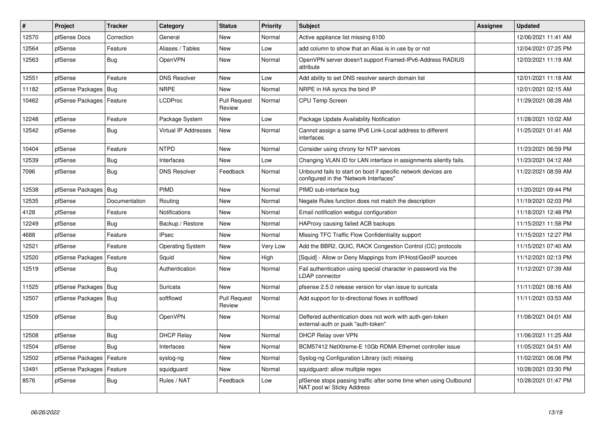| #     | <b>Project</b>   | <b>Tracker</b> | Category                    | <b>Status</b>                 | Priority | <b>Subject</b>                                                                                           | <b>Assignee</b> | <b>Updated</b>      |
|-------|------------------|----------------|-----------------------------|-------------------------------|----------|----------------------------------------------------------------------------------------------------------|-----------------|---------------------|
| 12570 | pfSense Docs     | Correction     | General                     | <b>New</b>                    | Normal   | Active appliance list missing 6100                                                                       |                 | 12/06/2021 11:41 AM |
| 12564 | pfSense          | Feature        | Aliases / Tables            | <b>New</b>                    | Low      | add column to show that an Alias is in use by or not                                                     |                 | 12/04/2021 07:25 PM |
| 12563 | pfSense          | Bug            | OpenVPN                     | <b>New</b>                    | Normal   | OpenVPN server doesn't support Framed-IPv6-Address RADIUS<br>attribute                                   |                 | 12/03/2021 11:19 AM |
| 12551 | pfSense          | Feature        | <b>DNS Resolver</b>         | <b>New</b>                    | Low      | Add ability to set DNS resolver search domain list                                                       |                 | 12/01/2021 11:18 AM |
| 11182 | pfSense Packages | <b>Bug</b>     | <b>NRPE</b>                 | <b>New</b>                    | Normal   | NRPE in HA syncs the bind IP                                                                             |                 | 12/01/2021 02:15 AM |
| 10462 | pfSense Packages | Feature        | <b>LCDProc</b>              | <b>Pull Request</b><br>Review | Normal   | <b>CPU Temp Screen</b>                                                                                   |                 | 11/29/2021 08:28 AM |
| 12248 | pfSense          | Feature        | Package System              | <b>New</b>                    | Low      | Package Update Availability Notification                                                                 |                 | 11/28/2021 10:02 AM |
| 12542 | pfSense          | <b>Bug</b>     | <b>Virtual IP Addresses</b> | <b>New</b>                    | Normal   | Cannot assign a same IPv6 Link-Local address to different<br>interfaces                                  |                 | 11/25/2021 01:41 AM |
| 10404 | pfSense          | Feature        | <b>NTPD</b>                 | <b>New</b>                    | Normal   | Consider using chrony for NTP services                                                                   |                 | 11/23/2021 06:59 PM |
| 12539 | pfSense          | Bug            | Interfaces                  | <b>New</b>                    | Low      | Changing VLAN ID for LAN interface in assignments silently fails.                                        |                 | 11/23/2021 04:12 AM |
| 7096  | pfSense          | Bug            | <b>DNS Resolver</b>         | Feedback                      | Normal   | Unbound fails to start on boot if specific network devices are<br>configured in the "Network Interfaces" |                 | 11/22/2021 08:59 AM |
| 12538 | pfSense Packages | Bug            | <b>PIMD</b>                 | New                           | Normal   | PIMD sub-interface bug                                                                                   |                 | 11/20/2021 09:44 PM |
| 12535 | pfSense          | Documentation  | Routing                     | <b>New</b>                    | Normal   | Negate Rules function does not match the description                                                     |                 | 11/19/2021 02:03 PM |
| 4128  | pfSense          | Feature        | <b>Notifications</b>        | <b>New</b>                    | Normal   | Email notification webqui configuration                                                                  |                 | 11/18/2021 12:48 PM |
| 12249 | pfSense          | Bug            | Backup / Restore            | <b>New</b>                    | Normal   | HAProxy causing failed ACB backups                                                                       |                 | 11/15/2021 11:58 PM |
| 4688  | pfSense          | Feature        | <b>IPsec</b>                | <b>New</b>                    | Normal   | Missing TFC Traffic Flow Confidentiality support                                                         |                 | 11/15/2021 12:27 PM |
| 12521 | pfSense          | Feature        | <b>Operating System</b>     | <b>New</b>                    | Very Low | Add the BBR2, QUIC, RACK Congestion Control (CC) protocols                                               |                 | 11/15/2021 07:40 AM |
| 12520 | pfSense Packages | Feature        | Squid                       | <b>New</b>                    | High     | [Squid] - Allow or Deny Mappings from IP/Host/GeoIP sources                                              |                 | 11/12/2021 02:13 PM |
| 12519 | pfSense          | <b>Bug</b>     | Authentication              | <b>New</b>                    | Normal   | Fail authentication using special character in password via the<br><b>LDAP</b> connector                 |                 | 11/12/2021 07:39 AM |
| 11525 | pfSense Packages | Bug            | Suricata                    | <b>New</b>                    | Normal   | pfsense 2.5.0 release version for vlan issue to suricata                                                 |                 | 11/11/2021 08:16 AM |
| 12507 | pfSense Packages | Bug            | softflowd                   | <b>Pull Request</b><br>Review | Normal   | Add support for bi-directional flows in softflowd                                                        |                 | 11/11/2021 03:53 AM |
| 12509 | pfSense          | Bug            | OpenVPN                     | <b>New</b>                    | Normal   | Deffered authentication does not work with auth-gen-token<br>external-auth or pusk "auth-token"          |                 | 11/08/2021 04:01 AM |
| 12508 | pfSense          | Bug            | <b>DHCP Relay</b>           | <b>New</b>                    | Normal   | <b>DHCP Relay over VPN</b>                                                                               |                 | 11/06/2021 11:25 AM |
| 12504 | pfSense          | Bug            | Interfaces                  | New                           | Normal   | BCM57412 NetXtreme-E 10Gb RDMA Ethernet controller issue                                                 |                 | 11/05/2021 04:51 AM |
| 12502 | pfSense Packages | Feature        | syslog-ng                   | <b>New</b>                    | Normal   | Syslog-ng Configuration Library (scl) missing                                                            |                 | 11/02/2021 06:06 PM |
| 12491 | pfSense Packages | Feature        | squidguard                  | <b>New</b>                    | Normal   | squidquard: allow multiple regex                                                                         |                 | 10/28/2021 03:30 PM |
| 8576  | pfSense          | Bug            | Rules / NAT                 | Feedback                      | Low      | pfSense stops passing traffic after some time when using Outbound<br>NAT pool w/ Sticky Address          |                 | 10/28/2021 01:47 PM |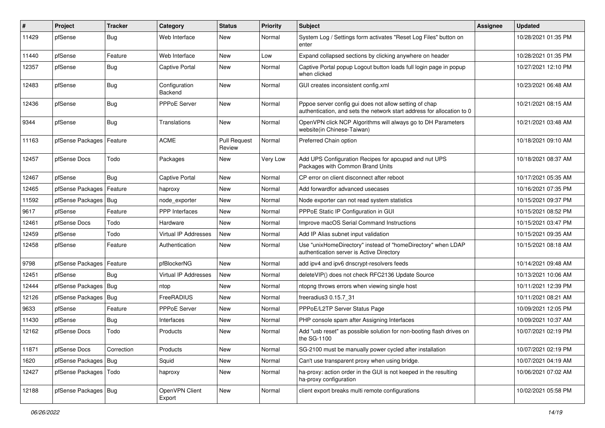| #     | Project                 | <b>Tracker</b> | Category                    | <b>Status</b>                 | <b>Priority</b> | Subject                                                                                                                          | <b>Assignee</b> | <b>Updated</b>      |
|-------|-------------------------|----------------|-----------------------------|-------------------------------|-----------------|----------------------------------------------------------------------------------------------------------------------------------|-----------------|---------------------|
| 11429 | pfSense                 | <b>Bug</b>     | Web Interface               | New                           | Normal          | System Log / Settings form activates "Reset Log Files" button on<br>enter                                                        |                 | 10/28/2021 01:35 PM |
| 11440 | pfSense                 | Feature        | Web Interface               | New                           | Low             | Expand collapsed sections by clicking anywhere on header                                                                         |                 | 10/28/2021 01:35 PM |
| 12357 | pfSense                 | Bug            | Captive Portal              | <b>New</b>                    | Normal          | Captive Portal popup Logout button loads full login page in popup<br>when clicked                                                |                 | 10/27/2021 12:10 PM |
| 12483 | pfSense                 | Bug            | Configuration<br>Backend    | <b>New</b>                    | Normal          | GUI creates inconsistent config.xml                                                                                              |                 | 10/23/2021 06:48 AM |
| 12436 | pfSense                 | <b>Bug</b>     | PPPoE Server                | <b>New</b>                    | Normal          | Pppoe server config gui does not allow setting of chap<br>authentication, and sets the network start address for allocation to 0 |                 | 10/21/2021 08:15 AM |
| 9344  | pfSense                 | Bug            | Translations                | New                           | Normal          | OpenVPN click NCP Algorithms will always go to DH Parameters<br>website(in Chinese-Taiwan)                                       |                 | 10/21/2021 03:48 AM |
| 11163 | pfSense Packages        | Feature        | <b>ACME</b>                 | <b>Pull Request</b><br>Review | Normal          | Preferred Chain option                                                                                                           |                 | 10/18/2021 09:10 AM |
| 12457 | pfSense Docs            | Todo           | Packages                    | <b>New</b>                    | Very Low        | Add UPS Configuration Recipes for apcupsd and nut UPS<br>Packages with Common Brand Units                                        |                 | 10/18/2021 08:37 AM |
| 12467 | pfSense                 | <b>Bug</b>     | <b>Captive Portal</b>       | <b>New</b>                    | Normal          | CP error on client disconnect after reboot                                                                                       |                 | 10/17/2021 05:35 AM |
| 12465 | pfSense Packages        | Feature        | haproxy                     | <b>New</b>                    | Normal          | Add forwardfor advanced usecases                                                                                                 |                 | 10/16/2021 07:35 PM |
| 11592 | pfSense Packages        | <b>Bug</b>     | node exporter               | New                           | Normal          | Node exporter can not read system statistics                                                                                     |                 | 10/15/2021 09:37 PM |
| 9617  | pfSense                 | Feature        | PPP Interfaces              | <b>New</b>                    | Normal          | PPPoE Static IP Configuration in GUI                                                                                             |                 | 10/15/2021 08:52 PM |
| 12461 | pfSense Docs            | Todo           | Hardware                    | New                           | Normal          | Improve macOS Serial Command Instructions                                                                                        |                 | 10/15/2021 03:47 PM |
| 12459 | pfSense                 | Todo           | <b>Virtual IP Addresses</b> | <b>New</b>                    | Normal          | Add IP Alias subnet input validation                                                                                             |                 | 10/15/2021 09:35 AM |
| 12458 | pfSense                 | Feature        | Authentication              | New                           | Normal          | Use "unixHomeDirectory" instead of "homeDirectory" when LDAP<br>authentication server is Active Directory                        |                 | 10/15/2021 08:18 AM |
| 9798  | pfSense Packages        | Feature        | pfBlockerNG                 | New                           | Normal          | add ipv4 and ipv6 dnscrypt-resolvers feeds                                                                                       |                 | 10/14/2021 09:48 AM |
| 12451 | pfSense                 | Bug            | Virtual IP Addresses        | <b>New</b>                    | Normal          | deleteVIP() does not check RFC2136 Update Source                                                                                 |                 | 10/13/2021 10:06 AM |
| 12444 | pfSense Packages        | <b>Bug</b>     | ntop                        | New                           | Normal          | ntopng throws errors when viewing single host                                                                                    |                 | 10/11/2021 12:39 PM |
| 12126 | pfSense Packages        | Bug            | FreeRADIUS                  | <b>New</b>                    | Normal          | freeradius 30.15.7 31                                                                                                            |                 | 10/11/2021 08:21 AM |
| 9633  | pfSense                 | Feature        | PPPoE Server                | New                           | Normal          | PPPoE/L2TP Server Status Page                                                                                                    |                 | 10/09/2021 12:05 PM |
| 11430 | pfSense                 | <b>Bug</b>     | Interfaces                  | <b>New</b>                    | Normal          | PHP console spam after Assigning Interfaces                                                                                      |                 | 10/09/2021 10:37 AM |
| 12162 | pfSense Docs            | Todo           | Products                    | New                           | Normal          | Add "usb reset" as possible solution for non-booting flash drives on<br>the SG-1100                                              |                 | 10/07/2021 02:19 PM |
| 11871 | pfSense Docs            | Correction     | Products                    | New                           | Normal          | SG-2100 must be manually power cycled after installation                                                                         |                 | 10/07/2021 02:19 PM |
| 1620  | pfSense Packages        | Bug            | Squid                       | New                           | Normal          | Can't use transparent proxy when using bridge.                                                                                   |                 | 10/07/2021 04:19 AM |
| 12427 | pfSense Packages   Todo |                | haproxy                     | New                           | Normal          | ha-proxy: action order in the GUI is not keeped in the resulting<br>ha-proxy configuration                                       |                 | 10/06/2021 07:02 AM |
| 12188 | pfSense Packages   Bug  |                | OpenVPN Client<br>Export    | New                           | Normal          | client export breaks multi remote configurations                                                                                 |                 | 10/02/2021 05:58 PM |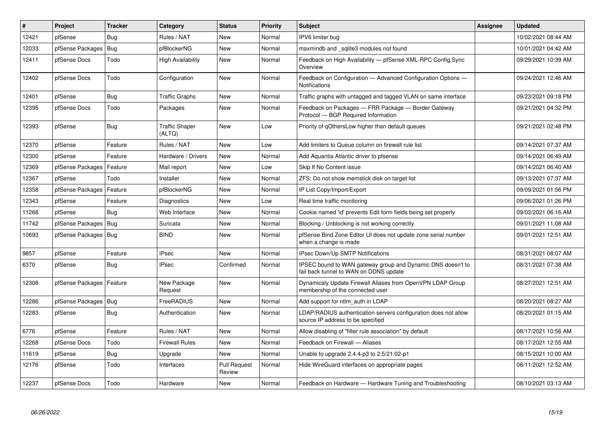| #     | Project                | <b>Tracker</b> | Category                        | <b>Status</b>                 | <b>Priority</b> | <b>Subject</b>                                                                                        | <b>Assignee</b> | <b>Updated</b>      |
|-------|------------------------|----------------|---------------------------------|-------------------------------|-----------------|-------------------------------------------------------------------------------------------------------|-----------------|---------------------|
| 12421 | pfSense                | Bug            | Rules / NAT                     | <b>New</b>                    | Normal          | IPV6 limiter bug                                                                                      |                 | 10/02/2021 08:44 AM |
| 12033 | pfSense Packages       | Bug            | pfBlockerNG                     | New                           | Normal          | maxmindb and sqlite3 modules not found                                                                |                 | 10/01/2021 04:42 AM |
| 12411 | pfSense Docs           | Todo           | <b>High Availability</b>        | <b>New</b>                    | Normal          | Feedback on High Availability - pfSense XML-RPC Config Sync<br>Overview                               |                 | 09/29/2021 10:39 AM |
| 12402 | pfSense Docs           | Todo           | Configuration                   | New                           | Normal          | Feedback on Configuration - Advanced Configuration Options -<br><b>Notifications</b>                  |                 | 09/24/2021 12:46 AM |
| 12401 | pfSense                | Bug            | <b>Traffic Graphs</b>           | <b>New</b>                    | Normal          | Traffic graphs with untagged and tagged VLAN on same interface                                        |                 | 09/23/2021 09:18 PM |
| 12395 | pfSense Docs           | Todo           | Packages                        | New                           | Normal          | Feedback on Packages - FRR Package - Border Gateway<br>Protocol - BGP Required Information            |                 | 09/21/2021 04:32 PM |
| 12393 | pfSense                | Bug            | <b>Traffic Shaper</b><br>(ALTQ) | <b>New</b>                    | Low             | Priority of gOthersLow higher than default queues                                                     |                 | 09/21/2021 02:48 PM |
| 12370 | pfSense                | Feature        | Rules / NAT                     | <b>New</b>                    | Low             | Add limiters to Queue column on firewall rule list                                                    |                 | 09/14/2021 07:37 AM |
| 12300 | pfSense                | Feature        | Hardware / Drivers              | New                           | Normal          | Add Aquantia Atlantic driver to pfsense                                                               |                 | 09/14/2021 06:49 AM |
| 12369 | pfSense Packages       | Feature        | Mail report                     | <b>New</b>                    | Low             | Skip If No Content issue                                                                              |                 | 09/14/2021 06:40 AM |
| 12367 | pfSense                | Todo           | Installer                       | New                           | Normal          | ZFS: Do not show memstick disk on target list                                                         |                 | 09/13/2021 07:37 AM |
| 12358 | pfSense Packages       | Feature        | pfBlockerNG                     | New                           | Normal          | IP List Copy/Import/Export                                                                            |                 | 09/09/2021 01:56 PM |
| 12343 | pfSense                | Feature        | Diagnostics                     | <b>New</b>                    | Low             | Real time traffic monitoring                                                                          |                 | 09/06/2021 01:26 PM |
| 11268 | pfSense                | Bug            | Web Interface                   | <b>New</b>                    | Normal          | Cookie named 'id' prevents Edit form fields being set properly                                        |                 | 09/03/2021 06:16 AM |
| 11742 | pfSense Packages       | Bug            | Suricata                        | New                           | Normal          | Blocking / Unblocking is not working correctly.                                                       |                 | 09/01/2021 11:08 AM |
| 10693 | pfSense Packages   Bug |                | <b>BIND</b>                     | <b>New</b>                    | Normal          | pfSense Bind Zone Editor UI does not update zone serial number<br>when a change is made               |                 | 09/01/2021 12:51 AM |
| 9857  | pfSense                | Feature        | <b>IPsec</b>                    | <b>New</b>                    | Normal          | <b>IPsec Down/Up SMTP Notifications</b>                                                               |                 | 08/31/2021 08:07 AM |
| 6370  | pfSense                | Bug            | <b>IPsec</b>                    | Confirmed                     | Normal          | IPSEC bound to WAN gateway group and Dynamic DNS doesn't to<br>fail back tunnel to WAN on DDNS update |                 | 08/31/2021 07:38 AM |
| 12308 | pfSense Packages       | Feature        | New Package<br>Request          | <b>New</b>                    | Normal          | Dynamicaly Update Firewall Aliases from OpenVPN LDAP Group<br>membership of the connected user        |                 | 08/27/2021 12:51 AM |
| 12286 | pfSense Packages       | Bug            | FreeRADIUS                      | <b>New</b>                    | Normal          | Add support for ntlm auth in LDAP                                                                     |                 | 08/20/2021 08:27 AM |
| 12283 | pfSense                | Bug            | Authentication                  | <b>New</b>                    | Normal          | LDAP/RADIUS authentication servers configuration does not allow<br>source IP address to be specified  |                 | 08/20/2021 01:15 AM |
| 6776  | pfSense                | Feature        | Rules / NAT                     | <b>New</b>                    | Normal          | Allow disabling of "filter rule association" by default                                               |                 | 08/17/2021 10:56 AM |
| 12268 | pfSense Docs           | Todo           | <b>Firewall Rules</b>           | <b>New</b>                    | Normal          | Feedback on Firewall - Aliases                                                                        |                 | 08/17/2021 12:55 AM |
| 11619 | pfSense                | <b>Bug</b>     | Upgrade                         | <b>New</b>                    | Normal          | Unable to upgrade 2.4.4-p3 to 2.5/21.02-p1                                                            |                 | 08/15/2021 10:00 AM |
| 12176 | pfSense                | Todo           | Interfaces                      | <b>Pull Request</b><br>Review | Normal          | Hide WireGuard interfaces on appropriate pages                                                        |                 | 08/11/2021 12:52 AM |
| 12237 | pfSense Docs           | Todo           | Hardware                        | New                           | Normal          | Feedback on Hardware — Hardware Tuning and Troubleshooting                                            |                 | 08/10/2021 03:13 AM |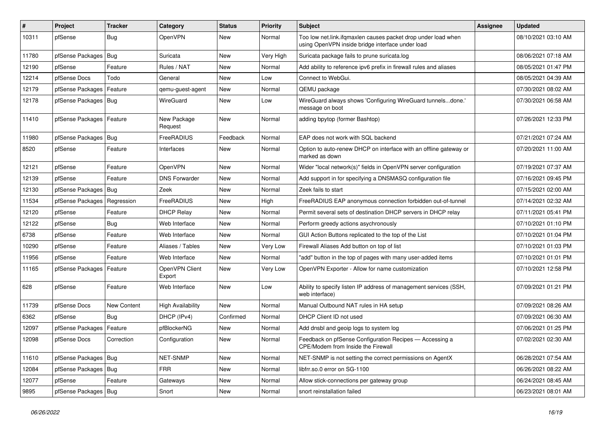| ∦     | Project                    | <b>Tracker</b> | Category                 | <b>Status</b> | <b>Priority</b> | <b>Subject</b>                                                                                                    | <b>Assignee</b> | <b>Updated</b>      |
|-------|----------------------------|----------------|--------------------------|---------------|-----------------|-------------------------------------------------------------------------------------------------------------------|-----------------|---------------------|
| 10311 | pfSense                    | Bug            | OpenVPN                  | New           | Normal          | Too low net.link.ifqmaxlen causes packet drop under load when<br>using OpenVPN inside bridge interface under load |                 | 08/10/2021 03:10 AM |
| 11780 | pfSense Packages   Bug     |                | Suricata                 | New           | Very High       | Suricata package fails to prune suricata.log                                                                      |                 | 08/06/2021 07:18 AM |
| 12190 | pfSense                    | Feature        | Rules / NAT              | New           | Normal          | Add ability to reference ipv6 prefix in firewall rules and aliases                                                |                 | 08/05/2021 01:47 PM |
| 12214 | pfSense Docs               | Todo           | General                  | New           | Low             | Connect to WebGui.                                                                                                |                 | 08/05/2021 04:39 AM |
| 12179 | pfSense Packages           | Feature        | qemu-guest-agent         | New           | Normal          | QEMU package                                                                                                      |                 | 07/30/2021 08:02 AM |
| 12178 | pfSense Packages   Bug     |                | WireGuard                | New           | Low             | WireGuard always shows 'Configuring WireGuard tunnelsdone.'<br>message on boot                                    |                 | 07/30/2021 06:58 AM |
| 11410 | pfSense Packages   Feature |                | New Package<br>Request   | New           | Normal          | adding bpytop (former Bashtop)                                                                                    |                 | 07/26/2021 12:33 PM |
| 11980 | pfSense Packages   Bug     |                | FreeRADIUS               | Feedback      | Normal          | EAP does not work with SQL backend                                                                                |                 | 07/21/2021 07:24 AM |
| 8520  | pfSense                    | Feature        | Interfaces               | New           | Normal          | Option to auto-renew DHCP on interface with an offline gateway or<br>marked as down                               |                 | 07/20/2021 11:00 AM |
| 12121 | pfSense                    | Feature        | OpenVPN                  | New           | Normal          | Wider "local network(s)" fields in OpenVPN server configuration                                                   |                 | 07/19/2021 07:37 AM |
| 12139 | pfSense                    | Feature        | <b>DNS Forwarder</b>     | New           | Normal          | Add support in for specifying a DNSMASQ configuration file                                                        |                 | 07/16/2021 09:45 PM |
| 12130 | pfSense Packages           | Bug            | Zeek                     | <b>New</b>    | Normal          | Zeek fails to start                                                                                               |                 | 07/15/2021 02:00 AM |
| 11534 | pfSense Packages           | Regression     | FreeRADIUS               | New           | High            | FreeRADIUS EAP anonymous connection forbidden out-of-tunnel                                                       |                 | 07/14/2021 02:32 AM |
| 12120 | pfSense                    | Feature        | <b>DHCP Relay</b>        | New           | Normal          | Permit several sets of destination DHCP servers in DHCP relay                                                     |                 | 07/11/2021 05:41 PM |
| 12122 | pfSense                    | Bug            | Web Interface            | New           | Normal          | Perform greedy actions asychronously                                                                              |                 | 07/10/2021 01:10 PM |
| 6738  | pfSense                    | Feature        | Web Interface            | New           | Normal          | GUI Action Buttons replicated to the top of the List                                                              |                 | 07/10/2021 01:04 PM |
| 10290 | pfSense                    | Feature        | Aliases / Tables         | <b>New</b>    | Very Low        | Firewall Aliases Add button on top of list                                                                        |                 | 07/10/2021 01:03 PM |
| 11956 | pfSense                    | Feature        | Web Interface            | New           | Normal          | "add" button in the top of pages with many user-added items                                                       |                 | 07/10/2021 01:01 PM |
| 11165 | pfSense Packages           | Feature        | OpenVPN Client<br>Export | New           | Very Low        | OpenVPN Exporter - Allow for name customization                                                                   |                 | 07/10/2021 12:58 PM |
| 628   | pfSense                    | Feature        | Web Interface            | New           | Low             | Ability to specify listen IP address of management services (SSH,<br>web interface)                               |                 | 07/09/2021 01:21 PM |
| 11739 | pfSense Docs               | New Content    | <b>High Availability</b> | New           | Normal          | Manual Outbound NAT rules in HA setup                                                                             |                 | 07/09/2021 08:26 AM |
| 6362  | pfSense                    | Bug            | DHCP (IPv4)              | Confirmed     | Normal          | DHCP Client ID not used                                                                                           |                 | 07/09/2021 06:30 AM |
| 12097 | pfSense Packages           | Feature        | pfBlockerNG              | New           | Normal          | Add dnsbl and geoip logs to system log                                                                            |                 | 07/06/2021 01:25 PM |
| 12098 | pfSense Docs               | Correction     | Configuration            | New           | Normal          | Feedback on pfSense Configuration Recipes - Accessing a<br>CPE/Modem from Inside the Firewall                     |                 | 07/02/2021 02:30 AM |
| 11610 | pfSense Packages   Bug     |                | NET-SNMP                 | New           | Normal          | NET-SNMP is not setting the correct permissions on AgentX                                                         |                 | 06/28/2021 07:54 AM |
| 12084 | pfSense Packages   Bug     |                | <b>FRR</b>               | New           | Normal          | libfrr.so.0 error on SG-1100                                                                                      |                 | 06/26/2021 08:22 AM |
| 12077 | pfSense                    | Feature        | Gateways                 | New           | Normal          | Allow stick-connections per gateway group                                                                         |                 | 06/24/2021 08:45 AM |
| 9895  | pfSense Packages   Bug     |                | Snort                    | New           | Normal          | snort reinstallation failed                                                                                       |                 | 06/23/2021 08:01 AM |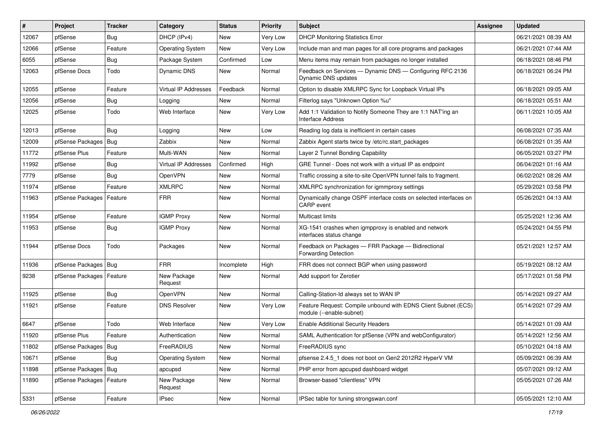| #     | Project                    | <b>Tracker</b> | Category                | <b>Status</b> | <b>Priority</b> | Subject                                                                                    | <b>Assignee</b> | <b>Updated</b>      |
|-------|----------------------------|----------------|-------------------------|---------------|-----------------|--------------------------------------------------------------------------------------------|-----------------|---------------------|
| 12067 | pfSense                    | Bug            | DHCP (IPv4)             | <b>New</b>    | Very Low        | <b>DHCP Monitoring Statistics Error</b>                                                    |                 | 06/21/2021 08:39 AM |
| 12066 | pfSense                    | Feature        | <b>Operating System</b> | <b>New</b>    | Very Low        | Include man and man pages for all core programs and packages                               |                 | 06/21/2021 07:44 AM |
| 6055  | pfSense                    | Bug            | Package System          | Confirmed     | Low             | Menu items may remain from packages no longer installed                                    |                 | 06/18/2021 08:46 PM |
| 12063 | pfSense Docs               | Todo           | Dynamic DNS             | <b>New</b>    | Normal          | Feedback on Services - Dynamic DNS - Configuring RFC 2136<br>Dynamic DNS updates           |                 | 06/18/2021 06:24 PM |
| 12055 | pfSense                    | Feature        | Virtual IP Addresses    | Feedback      | Normal          | Option to disable XMLRPC Sync for Loopback Virtual IPs                                     |                 | 06/18/2021 09:05 AM |
| 12056 | pfSense                    | Bug            | Logging                 | <b>New</b>    | Normal          | Filterlog says "Unknown Option %u"                                                         |                 | 06/18/2021 05:51 AM |
| 12025 | pfSense                    | Todo           | Web Interface           | <b>New</b>    | Very Low        | Add 1:1 Validation to Notify Someone They are 1:1 NAT'ing an<br><b>Interface Address</b>   |                 | 06/11/2021 10:05 AM |
| 12013 | pfSense                    | <b>Bug</b>     | Logging                 | New           | Low             | Reading log data is inefficient in certain cases                                           |                 | 06/08/2021 07:35 AM |
| 12009 | pfSense Packages           | Bug            | Zabbix                  | <b>New</b>    | Normal          | Zabbix Agent starts twice by /etc/rc.start packages                                        |                 | 06/08/2021 01:35 AM |
| 11772 | pfSense Plus               | Feature        | Multi-WAN               | <b>New</b>    | Normal          | Layer 2 Tunnel Bonding Capability                                                          |                 | 06/05/2021 03:27 PM |
| 11992 | pfSense                    | Bug            | Virtual IP Addresses    | Confirmed     | High            | GRE Tunnel - Does not work with a virtual IP as endpoint                                   |                 | 06/04/2021 01:16 AM |
| 7779  | pfSense                    | <b>Bug</b>     | OpenVPN                 | New           | Normal          | Traffic crossing a site-to-site OpenVPN tunnel fails to fragment.                          |                 | 06/02/2021 08:26 AM |
| 11974 | pfSense                    | Feature        | <b>XMLRPC</b>           | New           | Normal          | XMLRPC synchronization for igmmproxy settings                                              |                 | 05/29/2021 03:58 PM |
| 11963 | pfSense Packages           | Feature        | <b>FRR</b>              | <b>New</b>    | Normal          | Dynamically change OSPF interface costs on selected interfaces on<br>CARP event            |                 | 05/26/2021 04:13 AM |
| 11954 | pfSense                    | Feature        | <b>IGMP Proxy</b>       | <b>New</b>    | Normal          | Multicast limits                                                                           |                 | 05/25/2021 12:36 AM |
| 11953 | pfSense                    | Bug            | <b>IGMP Proxy</b>       | <b>New</b>    | Normal          | XG-1541 crashes when igmpproxy is enabled and network<br>interfaces status change          |                 | 05/24/2021 04:55 PM |
| 11944 | pfSense Docs               | Todo           | Packages                | <b>New</b>    | Normal          | Feedback on Packages - FRR Package - Bidirectional<br><b>Forwarding Detection</b>          |                 | 05/21/2021 12:57 AM |
| 11936 | pfSense Packages           | $ $ Bug        | <b>FRR</b>              | Incomplete    | High            | FRR does not connect BGP when using password                                               |                 | 05/19/2021 08:12 AM |
| 9238  | pfSense Packages           | Feature        | New Package<br>Request  | <b>New</b>    | Normal          | Add support for Zerotier                                                                   |                 | 05/17/2021 01:58 PM |
| 11925 | pfSense                    | Bug            | OpenVPN                 | New           | Normal          | Calling-Station-Id always set to WAN IP                                                    |                 | 05/14/2021 09:27 AM |
| 11921 | pfSense                    | Feature        | <b>DNS Resolver</b>     | <b>New</b>    | Very Low        | Feature Request: Compile unbound with EDNS Client Subnet (ECS)<br>module (--enable-subnet) |                 | 05/14/2021 07:29 AM |
| 6647  | pfSense                    | Todo           | Web Interface           | <b>New</b>    | Very Low        | <b>Enable Additional Security Headers</b>                                                  |                 | 05/14/2021 01:09 AM |
| 11920 | pfSense Plus               | Feature        | Authentication          | New           | Normal          | SAML Authentication for pfSense (VPN and webConfigurator)                                  |                 | 05/14/2021 12:56 AM |
| 11802 | pfSense Packages   Bug     |                | FreeRADIUS              | New           | Normal          | FreeRADIUS sync                                                                            |                 | 05/10/2021 04:18 AM |
| 10671 | pfSense                    | <b>Bug</b>     | <b>Operating System</b> | New           | Normal          | pfsense 2.4.5_1 does not boot on Gen2 2012R2 HyperV VM                                     |                 | 05/09/2021 06:39 AM |
| 11898 | pfSense Packages   Bug     |                | apcupsd                 | New           | Normal          | PHP error from apcupsd dashboard widget                                                    |                 | 05/07/2021 09:12 AM |
| 11890 | pfSense Packages   Feature |                | New Package<br>Request  | New           | Normal          | Browser-based "clientless" VPN                                                             |                 | 05/05/2021 07:26 AM |
| 5331  | pfSense                    | Feature        | <b>IPsec</b>            | New           | Normal          | IPSec table for tuning strongswan.conf                                                     |                 | 05/05/2021 12:10 AM |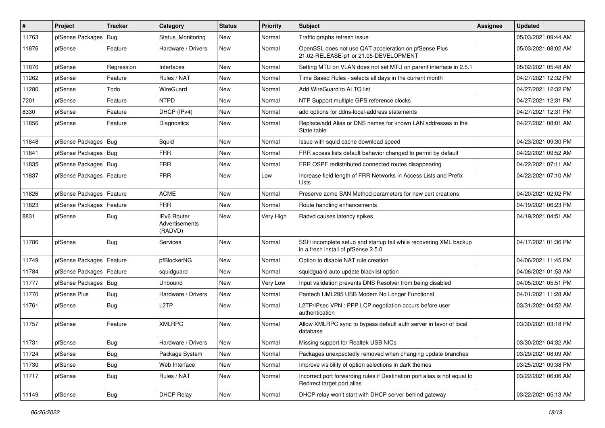| $\vert$ # | Project                | <b>Tracker</b> | Category                                        | <b>Status</b> | <b>Priority</b> | Subject                                                                                                  | <b>Assignee</b> | <b>Updated</b>      |
|-----------|------------------------|----------------|-------------------------------------------------|---------------|-----------------|----------------------------------------------------------------------------------------------------------|-----------------|---------------------|
| 11763     | pfSense Packages       | Bug            | Status Monitoring                               | New           | Normal          | Traffic graphs refresh issue                                                                             |                 | 05/03/2021 09:44 AM |
| 11876     | pfSense                | Feature        | Hardware / Drivers                              | New           | Normal          | OpenSSL does not use QAT acceleration on pfSense Plus<br>21.02-RELEASE-p1 or 21.05-DEVELOPMENT           |                 | 05/03/2021 08:02 AM |
| 11870     | pfSense                | Regression     | Interfaces                                      | <b>New</b>    | Normal          | Setting MTU on VLAN does not set MTU on parent interface in 2.5.1                                        |                 | 05/02/2021 05:48 AM |
| 11262     | pfSense                | Feature        | Rules / NAT                                     | <b>New</b>    | Normal          | Time Based Rules - selects all days in the current month                                                 |                 | 04/27/2021 12:32 PM |
| 11280     | pfSense                | Todo           | WireGuard                                       | New           | Normal          | Add WireGuard to ALTQ list                                                                               |                 | 04/27/2021 12:32 PM |
| 7201      | pfSense                | Feature        | <b>NTPD</b>                                     | New           | Normal          | NTP Support multiple GPS reference clocks                                                                |                 | 04/27/2021 12:31 PM |
| 8330      | pfSense                | Feature        | DHCP (IPv4)                                     | <b>New</b>    | Normal          | add options for ddns-local-address statements                                                            |                 | 04/27/2021 12:31 PM |
| 11856     | pfSense                | Feature        | <b>Diagnostics</b>                              | New           | Normal          | Replace/add Alias or DNS names for known LAN addresses in the<br>State table                             |                 | 04/27/2021 08:01 AM |
| 11848     | pfSense Packages   Bug |                | Squid                                           | <b>New</b>    | Normal          | Issue with squid cache download speed                                                                    |                 | 04/23/2021 09:30 PM |
| 11841     | pfSense Packages   Bug |                | <b>FRR</b>                                      | New           | Normal          | FRR access lists default bahavior changed to permit by default                                           |                 | 04/22/2021 09:52 AM |
| 11835     | pfSense Packages   Bug |                | FRR                                             | New           | Normal          | FRR OSPF redistributed connected routes disappearing                                                     |                 | 04/22/2021 07:11 AM |
| 11837     | pfSense Packages       | Feature        | <b>FRR</b>                                      | New           | Low             | Increase field length of FRR Networks in Access Lists and Prefix<br>Lists                                |                 | 04/22/2021 07:10 AM |
| 11826     | pfSense Packages       | Feature        | <b>ACME</b>                                     | <b>New</b>    | Normal          | Preserve acme SAN Method parameters for new cert creations                                               |                 | 04/20/2021 02:02 PM |
| 11823     | pfSense Packages       | Feature        | <b>FRR</b>                                      | New           | Normal          | Route handling enhancements                                                                              |                 | 04/19/2021 06:23 PM |
| 8831      | pfSense                | <b>Bug</b>     | <b>IPv6 Router</b><br>Advertisements<br>(RADVD) | New           | Very High       | Radvd causes latency spikes                                                                              |                 | 04/19/2021 04:51 AM |
| 11786     | pfSense                | Bug            | Services                                        | <b>New</b>    | Normal          | SSH incomplete setup and startup fail while recovering XML backup<br>in a fresh install of pfSense 2.5.0 |                 | 04/17/2021 01:36 PM |
| 11749     | pfSense Packages       | Feature        | pfBlockerNG                                     | <b>New</b>    | Normal          | Option to disable NAT rule creation                                                                      |                 | 04/06/2021 11:45 PM |
| 11784     | pfSense Packages       | Feature        | squidguard                                      | <b>New</b>    | Normal          | squidguard auto update blacklist option                                                                  |                 | 04/06/2021 01:53 AM |
| 11777     | pfSense Packages   Bug |                | Unbound                                         | New           | Very Low        | Input validation prevents DNS Resolver from being disabled                                               |                 | 04/05/2021 05:51 PM |
| 11770     | pfSense Plus           | Bug            | Hardware / Drivers                              | New           | Normal          | Pantech UML295 USB Modem No Longer Functional                                                            |                 | 04/01/2021 11:28 AM |
| 11761     | pfSense                | Bug            | L <sub>2</sub> TP                               | New           | Normal          | L2TP/IPsec VPN : PPP LCP negotiation occurs before user<br>authentication                                |                 | 03/31/2021 04:52 AM |
| 11757     | pfSense                | Feature        | <b>XMLRPC</b>                                   | <b>New</b>    | Normal          | Allow XMLRPC sync to bypass default auth server in favor of local<br>database                            |                 | 03/30/2021 03:18 PM |
| 11731     | pfSense                | <b>Bug</b>     | Hardware / Drivers                              | New           | Normal          | Missing support for Realtek USB NICs                                                                     |                 | 03/30/2021 04:32 AM |
| 11724     | pfSense                | <b>Bug</b>     | Package System                                  | New           | Normal          | Packages unexpectedly removed when changing update branches                                              |                 | 03/29/2021 08:09 AM |
| 11730     | pfSense                | <b>Bug</b>     | Web Interface                                   | New           | Normal          | Improve visibility of option selections in dark themes                                                   |                 | 03/25/2021 09:38 PM |
| 11717     | pfSense                | Bug            | Rules / NAT                                     | New           | Normal          | Incorrect port forwarding rules if Destination port alias is not equal to<br>Redirect target port alias  |                 | 03/22/2021 06:06 AM |
| 11149     | pfSense                | <b>Bug</b>     | <b>DHCP Relay</b>                               | New           | Normal          | DHCP relay won't start with DHCP server behind gateway                                                   |                 | 03/22/2021 05:13 AM |